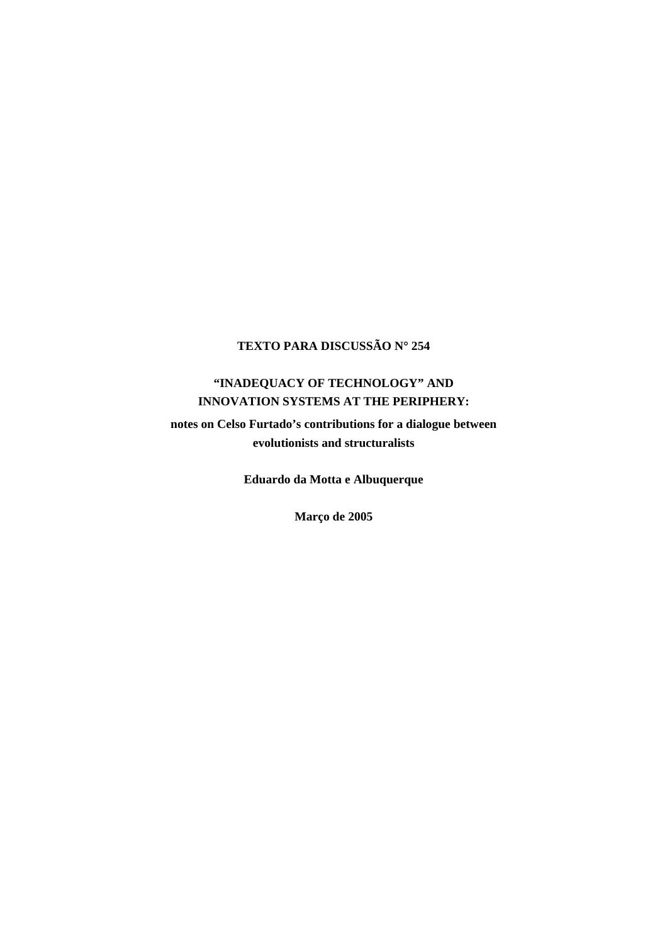## **TEXTO PARA DISCUSSÃO N**° **254**

# **"INADEQUACY OF TECHNOLOGY" AND INNOVATION SYSTEMS AT THE PERIPHERY:**

**notes on Celso Furtado's contributions for a dialogue between evolutionists and structuralists** 

**Eduardo da Motta e Albuquerque** 

**Março de 2005**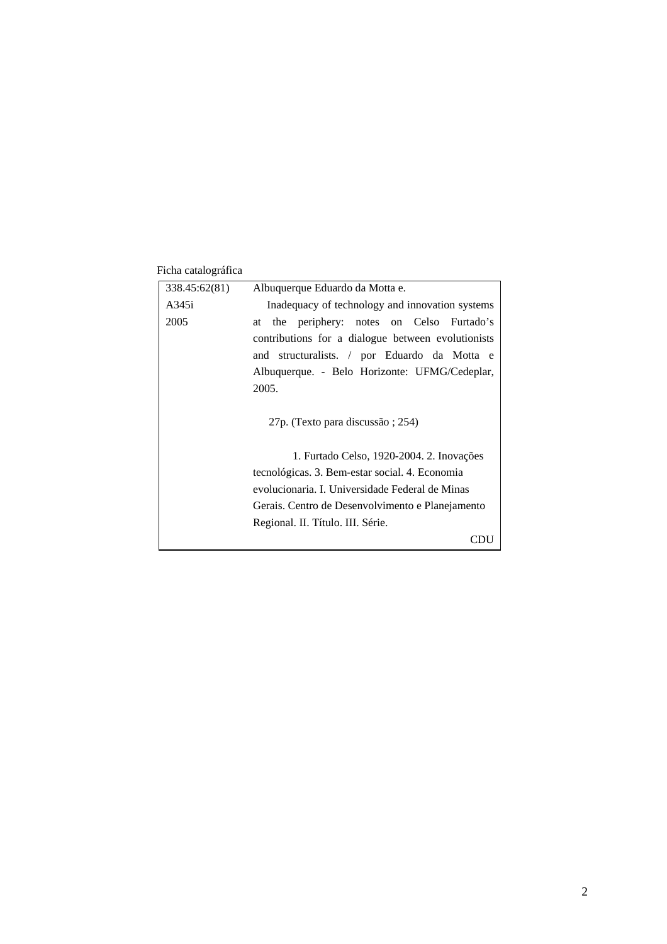### Ficha catalográfica

| 338.45:62(81) | Albuquerque Eduardo da Motta e.                    |
|---------------|----------------------------------------------------|
| A345i         | Inadequacy of technology and innovation systems    |
| 2005          | the periphery: notes on Celso Furtado's<br>at      |
|               | contributions for a dialogue between evolutionists |
|               | and structuralists. / por Eduardo da Motta e       |
|               | Albuquerque. - Belo Horizonte: UFMG/Cedeplar,      |
|               | 2005.                                              |
|               | 27p. (Texto para discussão ; 254)                  |
|               | 1. Furtado Celso, 1920-2004. 2. Inovações          |
|               | tecnológicas. 3. Bem-estar social. 4. Economia     |
|               | evolucionaria. I. Universidade Federal de Minas    |
|               | Gerais. Centro de Desenvolvimento e Planejamento   |
|               | Regional. II. Título. III. Série.                  |
|               |                                                    |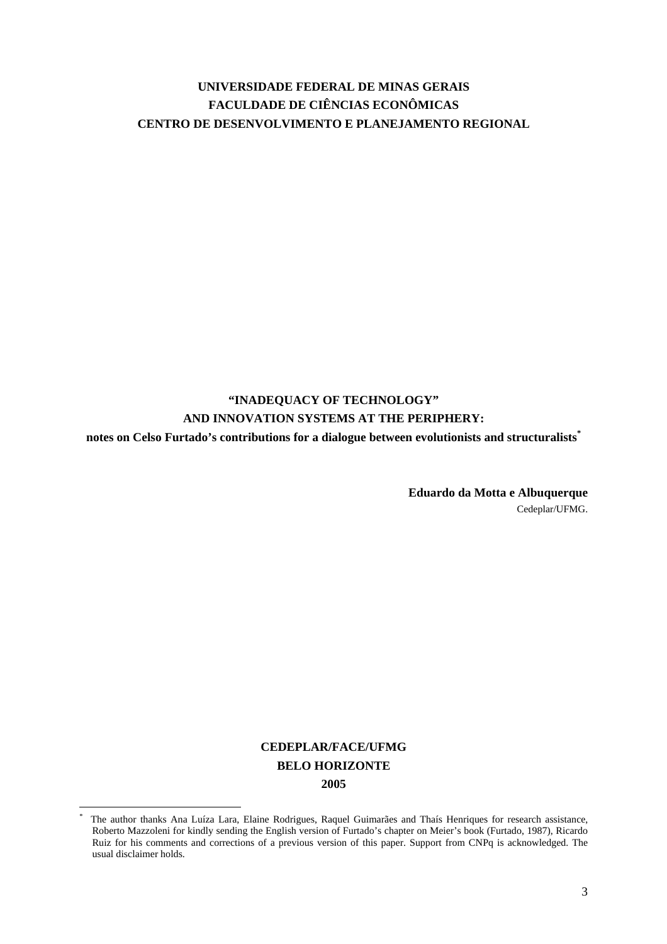## **UNIVERSIDADE FEDERAL DE MINAS GERAIS FACULDADE DE CIÊNCIAS ECONÔMICAS CENTRO DE DESENVOLVIMENTO E PLANEJAMENTO REGIONAL**

# **"INADEQUACY OF TECHNOLOGY" AND INNOVATION SYSTEMS AT THE PERIPHERY:**

**notes on Celso Furtado's contributions for a dialogue between evolutionists and structuralists[\\*](#page-2-0)**

**Eduardo da Motta e Albuquerque**  Cedeplar/UFMG.

# **CEDEPLAR/FACE/UFMG BELO HORIZONTE 2005**

<span id="page-2-0"></span><sup>\*</sup> The author thanks Ana Luíza Lara, Elaine Rodrigues, Raquel Guimarães and Thaís Henriques for research assistance, Roberto Mazzoleni for kindly sending the English version of Furtado's chapter on Meier's book (Furtado, 1987), Ricardo Ruiz for his comments and corrections of a previous version of this paper. Support from CNPq is acknowledged. The usual disclaimer holds.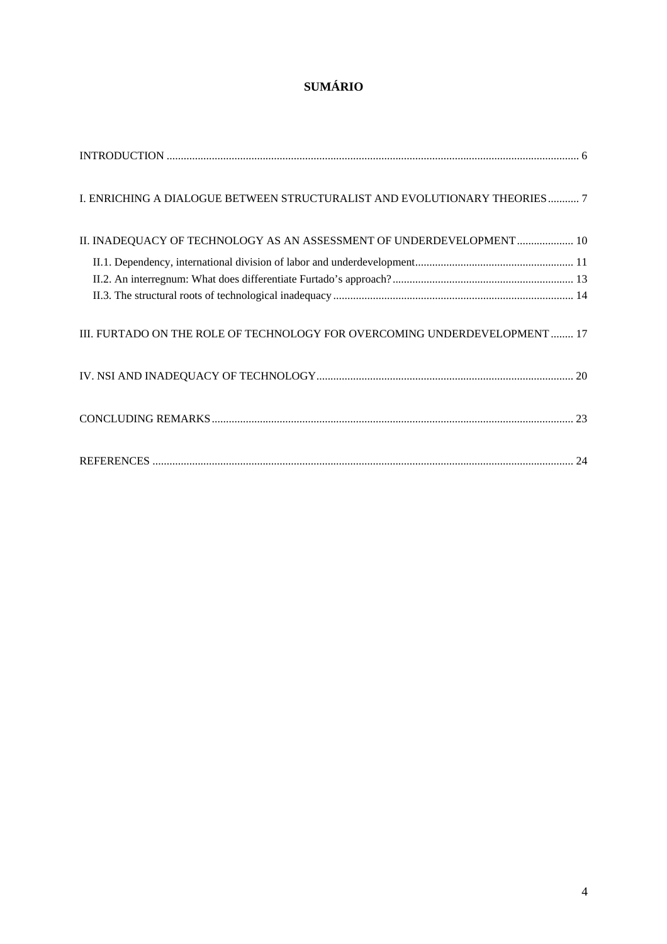# **SUMÁRIO**

| I. ENRICHING A DIALOGUE BETWEEN STRUCTURALIST AND EVOLUTIONARY THEORIES 7  |
|----------------------------------------------------------------------------|
| II. INADEQUACY OF TECHNOLOGY AS AN ASSESSMENT OF UNDERDEVELOPMENT  10      |
|                                                                            |
|                                                                            |
|                                                                            |
| III. FURTADO ON THE ROLE OF TECHNOLOGY FOR OVERCOMING UNDERDEVELOPMENT  17 |
|                                                                            |
|                                                                            |
|                                                                            |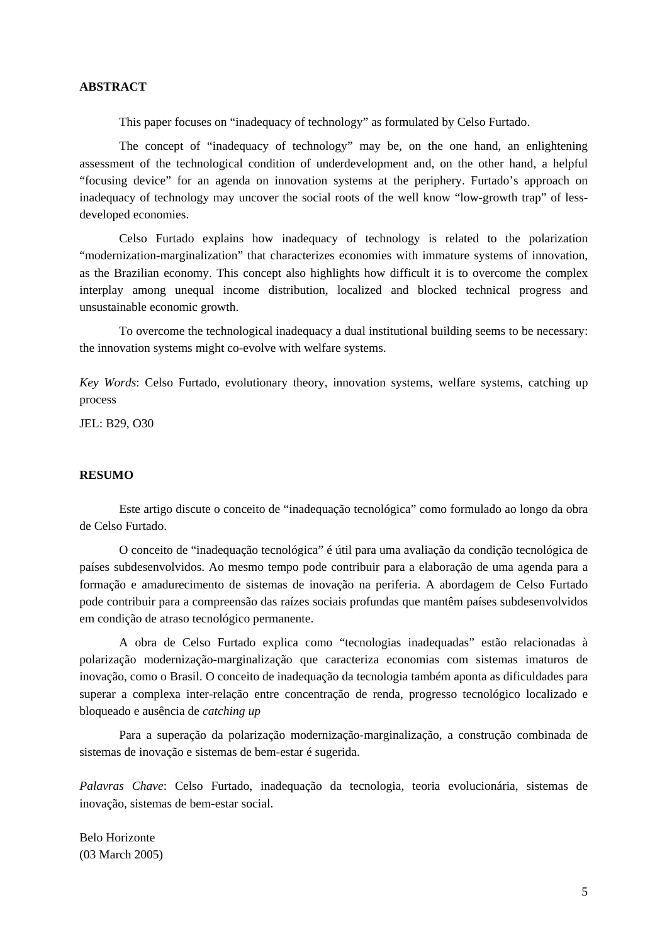### **ABSTRACT**

This paper focuses on "inadequacy of technology" as formulated by Celso Furtado.

The concept of "inadequacy of technology" may be, on the one hand, an enlightening assessment of the technological condition of underdevelopment and, on the other hand, a helpful "focusing device" for an agenda on innovation systems at the periphery. Furtado's approach on inadequacy of technology may uncover the social roots of the well know "low-growth trap" of lessdeveloped economies.

Celso Furtado explains how inadequacy of technology is related to the polarization "modernization-marginalization" that characterizes economies with immature systems of innovation, as the Brazilian economy. This concept also highlights how difficult it is to overcome the complex interplay among unequal income distribution, localized and blocked technical progress and unsustainable economic growth.

To overcome the technological inadequacy a dual institutional building seems to be necessary: the innovation systems might co-evolve with welfare systems.

*Key Words*: Celso Furtado, evolutionary theory, innovation systems, welfare systems, catching up process

JEL: B29, O30

### **RESUMO**

Este artigo discute o conceito de "inadequação tecnológica" como formulado ao longo da obra de Celso Furtado.

O conceito de "inadequação tecnológica" é útil para uma avaliação da condição tecnológica de países subdesenvolvidos. Ao mesmo tempo pode contribuir para a elaboração de uma agenda para a formação e amadurecimento de sistemas de inovação na periferia. A abordagem de Celso Furtado pode contribuir para a compreensão das raízes sociais profundas que mantêm países subdesenvolvidos em condição de atraso tecnológico permanente.

A obra de Celso Furtado explica como "tecnologias inadequadas" estão relacionadas à polarização modernização-marginalização que caracteriza economias com sistemas imaturos de inovação, como o Brasil. O conceito de inadequação da tecnologia também aponta as dificuldades para superar a complexa inter-relação entre concentração de renda, progresso tecnológico localizado e bloqueado e ausência de *catching up*

Para a superação da polarização modernização-marginalização, a construção combinada de sistemas de inovação e sistemas de bem-estar é sugerida.

*Palavras Chave*: Celso Furtado, inadequação da tecnologia, teoria evolucionária, sistemas de inovação, sistemas de bem-estar social.

Belo Horizonte (03 March 2005)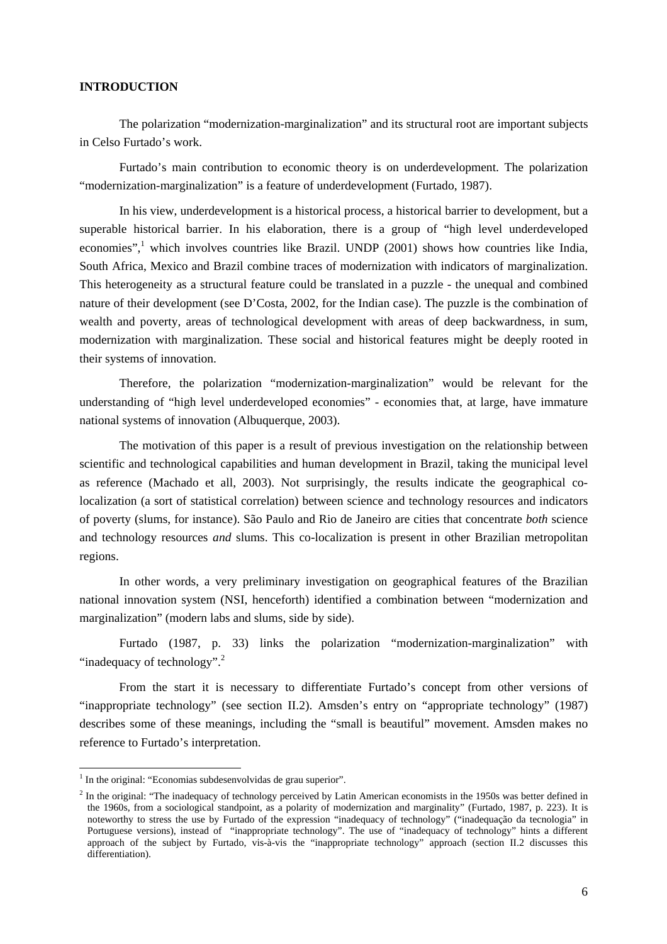### <span id="page-5-0"></span>**INTRODUCTION**

The polarization "modernization-marginalization" and its structural root are important subjects in Celso Furtado's work.

Furtado's main contribution to economic theory is on underdevelopment. The polarization "modernization-marginalization" is a feature of underdevelopment (Furtado, 1987).

In his view, underdevelopment is a historical process, a historical barrier to development, but a superable historical barrier. In his elaboration, there is a group of "high level underdeveloped economies",<sup>[1](#page-5-1)</sup> which involves countries like Brazil. UNDP (2001) shows how countries like India, South Africa, Mexico and Brazil combine traces of modernization with indicators of marginalization. This heterogeneity as a structural feature could be translated in a puzzle - the unequal and combined nature of their development (see D'Costa, 2002, for the Indian case). The puzzle is the combination of wealth and poverty, areas of technological development with areas of deep backwardness, in sum, modernization with marginalization. These social and historical features might be deeply rooted in their systems of innovation.

Therefore, the polarization "modernization-marginalization" would be relevant for the understanding of "high level underdeveloped economies" - economies that, at large, have immature national systems of innovation (Albuquerque, 2003).

The motivation of this paper is a result of previous investigation on the relationship between scientific and technological capabilities and human development in Brazil, taking the municipal level as reference (Machado et all, 2003). Not surprisingly, the results indicate the geographical colocalization (a sort of statistical correlation) between science and technology resources and indicators of poverty (slums, for instance). São Paulo and Rio de Janeiro are cities that concentrate *both* science and technology resources *and* slums. This co-localization is present in other Brazilian metropolitan regions.

In other words, a very preliminary investigation on geographical features of the Brazilian national innovation system (NSI, henceforth) identified a combination between "modernization and marginalization" (modern labs and slums, side by side).

Furtado (1987, p. 33) links the polarization "modernization-marginalization" with "inadequacy of technology".<sup>[2](#page-5-2)</sup>

From the start it is necessary to differentiate Furtado's concept from other versions of "inappropriate technology" (see section II.2). Amsden's entry on "appropriate technology" (1987) describes some of these meanings, including the "small is beautiful" movement. Amsden makes no reference to Furtado's interpretation.

<span id="page-5-1"></span> $<sup>1</sup>$  In the original: "Economias subdesenvolvidas de grau superior".</sup>

<span id="page-5-2"></span> $2$  In the original: "The inadequacy of technology perceived by Latin American economists in the 1950s was better defined in the 1960s, from a sociological standpoint, as a polarity of modernization and marginality" (Furtado, 1987, p. 223). It is noteworthy to stress the use by Furtado of the expression "inadequacy of technology" ("inadequação da tecnologia" in Portuguese versions), instead of "inappropriate technology". The use of "inadequacy of technology" hints a different approach of the subject by Furtado, vis-à-vis the "inappropriate technology" approach (section II.2 discusses this differentiation).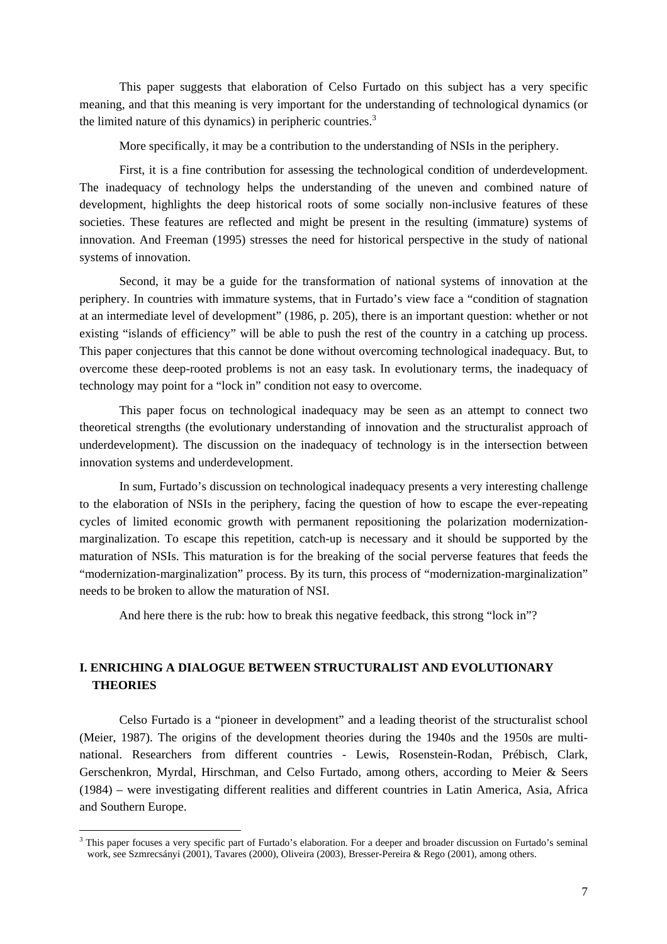<span id="page-6-0"></span>This paper suggests that elaboration of Celso Furtado on this subject has a very specific meaning, and that this meaning is very important for the understanding of technological dynamics (or the limited nature of this dynamics) in peripheric countries. $3$ 

More specifically, it may be a contribution to the understanding of NSIs in the periphery.

First, it is a fine contribution for assessing the technological condition of underdevelopment. The inadequacy of technology helps the understanding of the uneven and combined nature of development, highlights the deep historical roots of some socially non-inclusive features of these societies. These features are reflected and might be present in the resulting (immature) systems of innovation. And Freeman (1995) stresses the need for historical perspective in the study of national systems of innovation.

Second, it may be a guide for the transformation of national systems of innovation at the periphery. In countries with immature systems, that in Furtado's view face a "condition of stagnation at an intermediate level of development" (1986, p. 205), there is an important question: whether or not existing "islands of efficiency" will be able to push the rest of the country in a catching up process. This paper conjectures that this cannot be done without overcoming technological inadequacy. But, to overcome these deep-rooted problems is not an easy task. In evolutionary terms, the inadequacy of technology may point for a "lock in" condition not easy to overcome.

This paper focus on technological inadequacy may be seen as an attempt to connect two theoretical strengths (the evolutionary understanding of innovation and the structuralist approach of underdevelopment). The discussion on the inadequacy of technology is in the intersection between innovation systems and underdevelopment.

In sum, Furtado's discussion on technological inadequacy presents a very interesting challenge to the elaboration of NSIs in the periphery, facing the question of how to escape the ever-repeating cycles of limited economic growth with permanent repositioning the polarization modernizationmarginalization. To escape this repetition, catch-up is necessary and it should be supported by the maturation of NSIs. This maturation is for the breaking of the social perverse features that feeds the "modernization-marginalization" process. By its turn, this process of "modernization-marginalization" needs to be broken to allow the maturation of NSI.

And here there is the rub: how to break this negative feedback, this strong "lock in"?

### **I. ENRICHING A DIALOGUE BETWEEN STRUCTURALIST AND EVOLUTIONARY THEORIES**

Celso Furtado is a "pioneer in development" and a leading theorist of the structuralist school (Meier, 1987). The origins of the development theories during the 1940s and the 1950s are multinational. Researchers from different countries - Lewis, Rosenstein-Rodan, Prébisch, Clark, Gerschenkron, Myrdal, Hirschman, and Celso Furtado, among others, according to Meier & Seers (1984) – were investigating different realities and different countries in Latin America, Asia, Africa and Southern Europe.

<span id="page-6-1"></span><sup>&</sup>lt;sup>3</sup> This paper focuses a very specific part of Furtado's elaboration. For a deeper and broader discussion on Furtado's seminal work, see Szmrecsányi (2001), Tavares (2000), Oliveira (2003), Bresser-Pereira & Rego (2001), among others.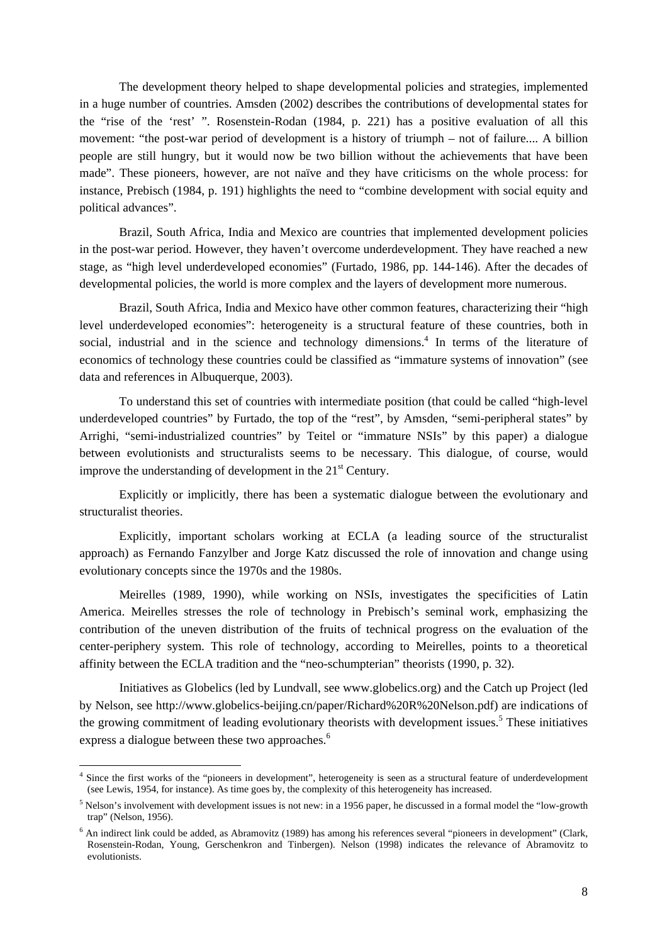The development theory helped to shape developmental policies and strategies, implemented in a huge number of countries. Amsden (2002) describes the contributions of developmental states for the "rise of the 'rest' ". Rosenstein-Rodan (1984, p. 221) has a positive evaluation of all this movement: "the post-war period of development is a history of triumph – not of failure.... A billion people are still hungry, but it would now be two billion without the achievements that have been made". These pioneers, however, are not naïve and they have criticisms on the whole process: for instance, Prebisch (1984, p. 191) highlights the need to "combine development with social equity and political advances".

Brazil, South Africa, India and Mexico are countries that implemented development policies in the post-war period. However, they haven't overcome underdevelopment. They have reached a new stage, as "high level underdeveloped economies" (Furtado, 1986, pp. 144-146). After the decades of developmental policies, the world is more complex and the layers of development more numerous.

Brazil, South Africa, India and Mexico have other common features, characterizing their "high level underdeveloped economies": heterogeneity is a structural feature of these countries, both in social, industrial and in the science and technology dimensions.<sup>[4](#page-7-0)</sup> In terms of the literature of economics of technology these countries could be classified as "immature systems of innovation" (see data and references in Albuquerque, 2003).

To understand this set of countries with intermediate position (that could be called "high-level underdeveloped countries" by Furtado, the top of the "rest", by Amsden, "semi-peripheral states" by Arrighi, "semi-industrialized countries" by Teitel or "immature NSIs" by this paper) a dialogue between evolutionists and structuralists seems to be necessary. This dialogue, of course, would improve the understanding of development in the  $21<sup>st</sup>$  Century.

Explicitly or implicitly, there has been a systematic dialogue between the evolutionary and structuralist theories.

Explicitly, important scholars working at ECLA (a leading source of the structuralist approach) as Fernando Fanzylber and Jorge Katz discussed the role of innovation and change using evolutionary concepts since the 1970s and the 1980s.

Meirelles (1989, 1990), while working on NSIs, investigates the specificities of Latin America. Meirelles stresses the role of technology in Prebisch's seminal work, emphasizing the contribution of the uneven distribution of the fruits of technical progress on the evaluation of the center-periphery system. This role of technology, according to Meirelles, points to a theoretical affinity between the ECLA tradition and the "neo-schumpterian" theorists (1990, p. 32).

Initiatives as Globelics (led by Lundvall, see www.globelics.org) and the Catch up Project (led by Nelson, see http://www.globelics-beijing.cn/paper/Richard%20R%20Nelson.pdf) are indications of the growing commitment of leading evolutionary theorists with development issues.<sup>[5](#page-7-1)</sup> These initiatives express a dialogue between these two approaches.<sup>[6](#page-7-2)</sup>

<span id="page-7-0"></span><sup>&</sup>lt;sup>4</sup> Since the first works of the "pioneers in development", heterogeneity is seen as a structural feature of underdevelopment (see Lewis, 1954, for instance). As time goes by, the complexity of this heterogeneity has increased.

<span id="page-7-1"></span><sup>&</sup>lt;sup>5</sup> Nelson's involvement with development issues is not new: in a 1956 paper, he discussed in a formal model the "low-growth" trap" (Nelson, 1956).

<span id="page-7-2"></span><sup>&</sup>lt;sup>6</sup> An indirect link could be added, as Abramovitz (1989) has among his references several "pioneers in development" (Clark, Rosenstein-Rodan, Young, Gerschenkron and Tinbergen). Nelson (1998) indicates the relevance of Abramovitz to evolutionists.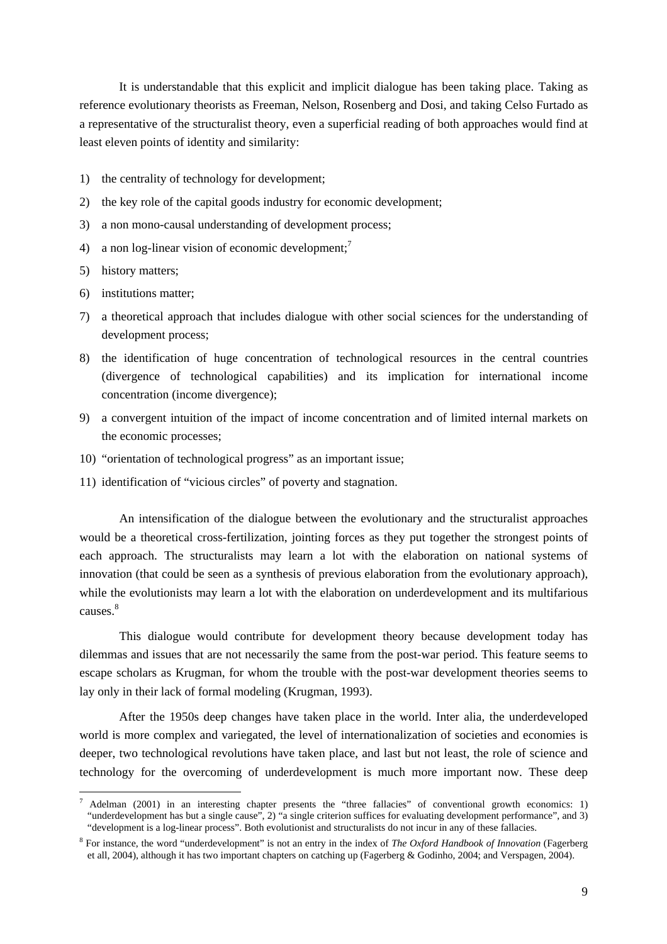It is understandable that this explicit and implicit dialogue has been taking place. Taking as reference evolutionary theorists as Freeman, Nelson, Rosenberg and Dosi, and taking Celso Furtado as a representative of the structuralist theory, even a superficial reading of both approaches would find at least eleven points of identity and similarity:

- 1) the centrality of technology for development;
- 2) the key role of the capital goods industry for economic development;
- 3) a non mono-causal understanding of development process;
- 4) a non log-linear vision of economic development;<sup>[7](#page-8-0)</sup>
- 5) history matters;

 $\overline{a}$ 

- 6) institutions matter;
- 7) a theoretical approach that includes dialogue with other social sciences for the understanding of development process;
- 8) the identification of huge concentration of technological resources in the central countries (divergence of technological capabilities) and its implication for international income concentration (income divergence);
- 9) a convergent intuition of the impact of income concentration and of limited internal markets on the economic processes;
- 10) "orientation of technological progress" as an important issue;
- 11) identification of "vicious circles" of poverty and stagnation.

An intensification of the dialogue between the evolutionary and the structuralist approaches would be a theoretical cross-fertilization, jointing forces as they put together the strongest points of each approach. The structuralists may learn a lot with the elaboration on national systems of innovation (that could be seen as a synthesis of previous elaboration from the evolutionary approach), while the evolutionists may learn a lot with the elaboration on underdevelopment and its multifarious causes.<sup>[8](#page-8-1)</sup>

This dialogue would contribute for development theory because development today has dilemmas and issues that are not necessarily the same from the post-war period. This feature seems to escape scholars as Krugman, for whom the trouble with the post-war development theories seems to lay only in their lack of formal modeling (Krugman, 1993).

After the 1950s deep changes have taken place in the world. Inter alia, the underdeveloped world is more complex and variegated, the level of internationalization of societies and economies is deeper, two technological revolutions have taken place, and last but not least, the role of science and technology for the overcoming of underdevelopment is much more important now. These deep

<span id="page-8-0"></span><sup>7</sup> Adelman (2001) in an interesting chapter presents the "three fallacies" of conventional growth economics: 1) "underdevelopment has but a single cause", 2) "a single criterion suffices for evaluating development performance", and 3) "development is a log-linear process". Both evolutionist and structuralists do not incur in any of these fallacies.

<span id="page-8-1"></span><sup>8</sup> For instance, the word "underdevelopment" is not an entry in the index of *The Oxford Handbook of Innovation* (Fagerberg et all, 2004), although it has two important chapters on catching up (Fagerberg & Godinho, 2004; and Verspagen, 2004).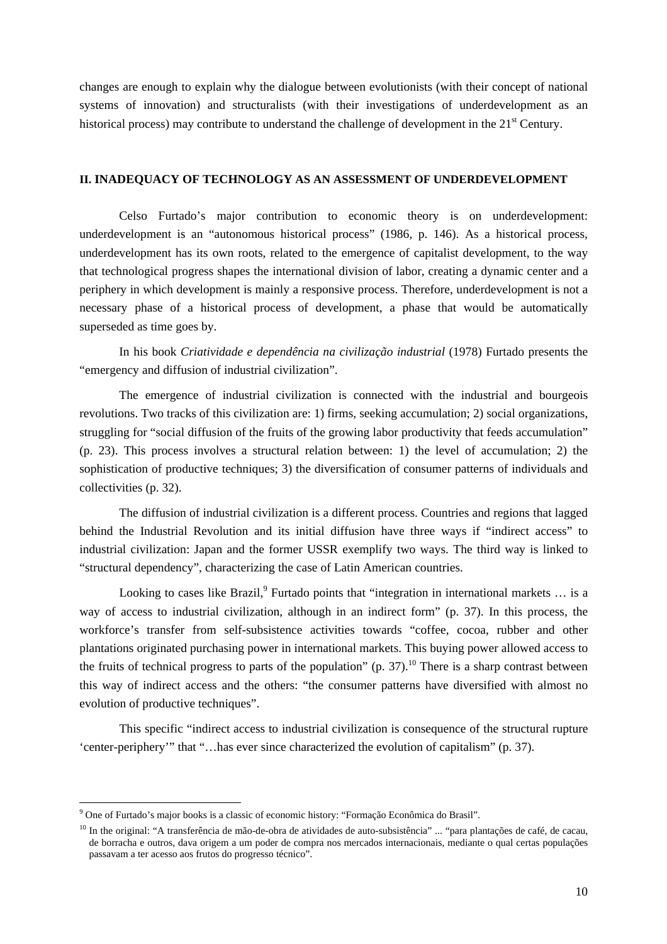<span id="page-9-0"></span>changes are enough to explain why the dialogue between evolutionists (with their concept of national systems of innovation) and structuralists (with their investigations of underdevelopment as an historical process) may contribute to understand the challenge of development in the  $21<sup>st</sup>$  Century.

### **II. INADEQUACY OF TECHNOLOGY AS AN ASSESSMENT OF UNDERDEVELOPMENT**

Celso Furtado's major contribution to economic theory is on underdevelopment: underdevelopment is an "autonomous historical process" (1986, p. 146). As a historical process, underdevelopment has its own roots, related to the emergence of capitalist development, to the way that technological progress shapes the international division of labor, creating a dynamic center and a periphery in which development is mainly a responsive process. Therefore, underdevelopment is not a necessary phase of a historical process of development, a phase that would be automatically superseded as time goes by.

In his book *Criatividade e dependência na civilização industrial* (1978) Furtado presents the "emergency and diffusion of industrial civilization".

The emergence of industrial civilization is connected with the industrial and bourgeois revolutions. Two tracks of this civilization are: 1) firms, seeking accumulation; 2) social organizations, struggling for "social diffusion of the fruits of the growing labor productivity that feeds accumulation" (p. 23). This process involves a structural relation between: 1) the level of accumulation; 2) the sophistication of productive techniques; 3) the diversification of consumer patterns of individuals and collectivities (p. 32).

The diffusion of industrial civilization is a different process. Countries and regions that lagged behind the Industrial Revolution and its initial diffusion have three ways if "indirect access" to industrial civilization: Japan and the former USSR exemplify two ways. The third way is linked to "structural dependency", characterizing the case of Latin American countries.

Looking to cases like Brazil, <sup>[9](#page-9-1)</sup> Furtado points that "integration in international markets ... is a way of access to industrial civilization, although in an indirect form" (p. 37). In this process, the workforce's transfer from self-subsistence activities towards "coffee, cocoa, rubber and other plantations originated purchasing power in international markets. This buying power allowed access to the fruits of technical progress to parts of the population" (p. 37).<sup>[10](#page-9-2)</sup> There is a sharp contrast between this way of indirect access and the others: "the consumer patterns have diversified with almost no evolution of productive techniques".

This specific "indirect access to industrial civilization is consequence of the structural rupture 'center-periphery'" that "…has ever since characterized the evolution of capitalism" (p. 37).

<span id="page-9-1"></span><sup>&</sup>lt;sup>9</sup> One of Furtado's major books is a classic of economic history: "Formação Econômica do Brasil".

<span id="page-9-2"></span><sup>&</sup>lt;sup>10</sup> In the original: "A transferência de mão-de-obra de atividades de auto-subsistência" ... "para plantações de café, de cacau, de borracha e outros, dava origem a um poder de compra nos mercados internacionais, mediante o qual certas populações passavam a ter acesso aos frutos do progresso técnico".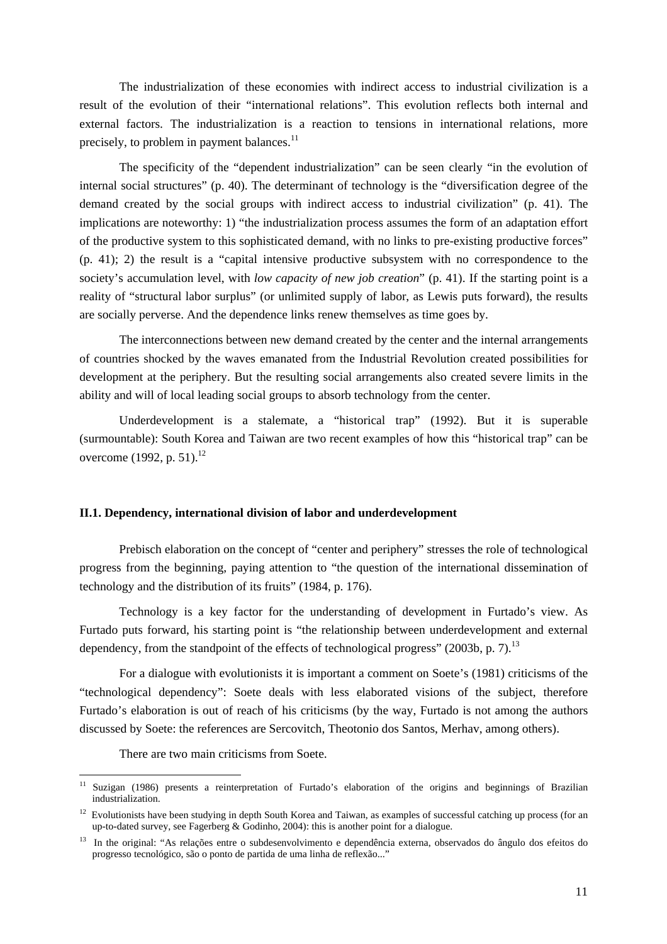<span id="page-10-0"></span>The industrialization of these economies with indirect access to industrial civilization is a result of the evolution of their "international relations". This evolution reflects both internal and external factors. The industrialization is a reaction to tensions in international relations, more precisely, to problem in payment balances.<sup>11</sup>

The specificity of the "dependent industrialization" can be seen clearly "in the evolution of internal social structures" (p. 40). The determinant of technology is the "diversification degree of the demand created by the social groups with indirect access to industrial civilization" (p. 41). The implications are noteworthy: 1) "the industrialization process assumes the form of an adaptation effort of the productive system to this sophisticated demand, with no links to pre-existing productive forces" (p. 41); 2) the result is a "capital intensive productive subsystem with no correspondence to the society's accumulation level, with *low capacity of new job creation*" (p. 41). If the starting point is a reality of "structural labor surplus" (or unlimited supply of labor, as Lewis puts forward), the results are socially perverse. And the dependence links renew themselves as time goes by.

The interconnections between new demand created by the center and the internal arrangements of countries shocked by the waves emanated from the Industrial Revolution created possibilities for development at the periphery. But the resulting social arrangements also created severe limits in the ability and will of local leading social groups to absorb technology from the center.

Underdevelopment is a stalemate, a "historical trap" (1992). But it is superable (surmountable): South Korea and Taiwan are two recent examples of how this "historical trap" can be overcome (1992, p. 51).<sup>12</sup>

### **II.1. Dependency, international division of labor and underdevelopment**

Prebisch elaboration on the concept of "center and periphery" stresses the role of technological progress from the beginning, paying attention to "the question of the international dissemination of technology and the distribution of its fruits" (1984, p. 176).

Technology is a key factor for the understanding of development in Furtado's view. As Furtado puts forward, his starting point is "the relationship between underdevelopment and external dependency, from the standpoint of the effects of technological progress" (2003b, p. 7).<sup>[13](#page-10-3)</sup>

For a dialogue with evolutionists it is important a comment on Soete's (1981) criticisms of the "technological dependency": Soete deals with less elaborated visions of the subject, therefore Furtado's elaboration is out of reach of his criticisms (by the way, Furtado is not among the authors discussed by Soete: the references are Sercovitch, Theotonio dos Santos, Merhav, among others).

There are two main criticisms from Soete.

<span id="page-10-1"></span>Suzigan (1986) presents a reinterpretation of Furtado's elaboration of the origins and beginnings of Brazilian industrialization.

<span id="page-10-2"></span><sup>&</sup>lt;sup>12</sup> Evolutionists have been studying in depth South Korea and Taiwan, as examples of successful catching up process (for an up-to-dated survey, see Fagerberg & Godinho, 2004): this is another point for a dialogue.

<span id="page-10-3"></span><sup>&</sup>lt;sup>13</sup> In the original: "As relações entre o subdesenvolvimento e dependência externa, observados do ângulo dos efeitos do progresso tecnológico, são o ponto de partida de uma linha de reflexão..."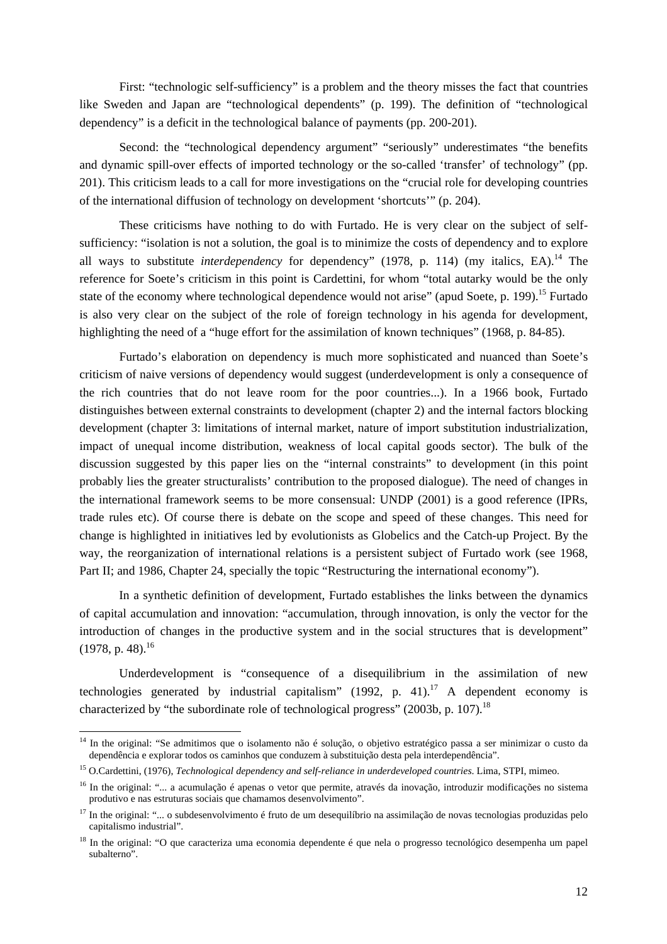First: "technologic self-sufficiency" is a problem and the theory misses the fact that countries like Sweden and Japan are "technological dependents" (p. 199). The definition of "technological dependency" is a deficit in the technological balance of payments (pp. 200-201).

Second: the "technological dependency argument" "seriously" underestimates "the benefits and dynamic spill-over effects of imported technology or the so-called 'transfer' of technology" (pp. 201). This criticism leads to a call for more investigations on the "crucial role for developing countries of the international diffusion of technology on development 'shortcuts'" (p. 204).

These criticisms have nothing to do with Furtado. He is very clear on the subject of selfsufficiency: "isolation is not a solution, the goal is to minimize the costs of dependency and to explore all ways to substitute *interdependency* for dependency" (1978, p. 114) (my italics, EA).<sup>14</sup> The reference for Soete's criticism in this point is Cardettini, for whom "total autarky would be the only state of the economy where technological dependence would not arise" (apud Soete, p. 199).<sup>15</sup> Furtado is also very clear on the subject of the role of foreign technology in his agenda for development, highlighting the need of a "huge effort for the assimilation of known techniques" (1968, p. 84-85).

Furtado's elaboration on dependency is much more sophisticated and nuanced than Soete's criticism of naive versions of dependency would suggest (underdevelopment is only a consequence of the rich countries that do not leave room for the poor countries...). In a 1966 book, Furtado distinguishes between external constraints to development (chapter 2) and the internal factors blocking development (chapter 3: limitations of internal market, nature of import substitution industrialization, impact of unequal income distribution, weakness of local capital goods sector). The bulk of the discussion suggested by this paper lies on the "internal constraints" to development (in this point probably lies the greater structuralists' contribution to the proposed dialogue). The need of changes in the international framework seems to be more consensual: UNDP (2001) is a good reference (IPRs, trade rules etc). Of course there is debate on the scope and speed of these changes. This need for change is highlighted in initiatives led by evolutionists as Globelics and the Catch-up Project. By the way, the reorganization of international relations is a persistent subject of Furtado work (see 1968, Part II; and 1986, Chapter 24, specially the topic "Restructuring the international economy").

In a synthetic definition of development, Furtado establishes the links between the dynamics of capital accumulation and innovation: "accumulation, through innovation, is only the vector for the introduction of changes in the productive system and in the social structures that is development"  $(1978, p. 48).$ <sup>[16](#page-11-2)</sup>

Underdevelopment is "consequence of a disequilibrium in the assimilation of new technologies generated by industrial capitalism" (1992, p. 41).<sup>17</sup> A dependent economy is characterized by "the subordinate role of technological progress" (2003b, p. 107).<sup>18</sup>

<span id="page-11-0"></span><sup>14</sup> In the original: "Se admitimos que o isolamento não é solução, o objetivo estratégico passa a ser minimizar o custo da dependência e explorar todos os caminhos que conduzem à substituição desta pela interdependência".

<span id="page-11-1"></span><sup>15</sup> O.Cardettini, (1976), *Technological dependency and self-reliance in underdeveloped countries*. Lima, STPI, mimeo.

<span id="page-11-2"></span><sup>&</sup>lt;sup>16</sup> In the original: "... a acumulação é apenas o vetor que permite, através da inovação, introduzir modificações no sistema produtivo e nas estruturas sociais que chamamos desenvolvimento".

<span id="page-11-3"></span><sup>&</sup>lt;sup>17</sup> In the original: "... o subdesenvolvimento é fruto de um desequilíbrio na assimilação de novas tecnologias produzidas pelo capitalismo industrial".

<span id="page-11-4"></span><sup>&</sup>lt;sup>18</sup> In the original: "O que caracteriza uma economia dependente é que nela o progresso tecnológico desempenha um papel subalterno".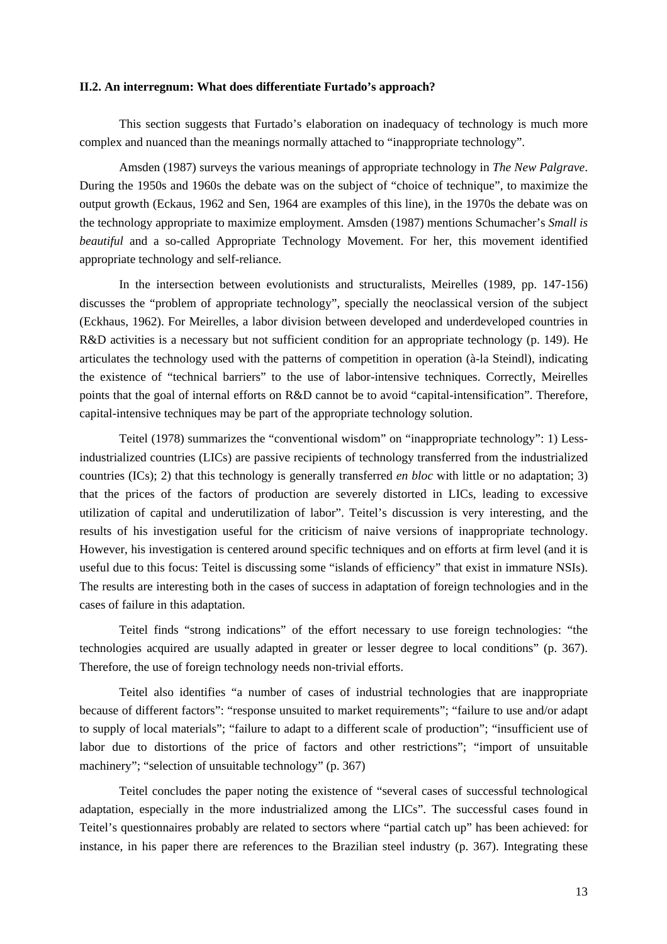### <span id="page-12-0"></span>**II.2. An interregnum: What does differentiate Furtado's approach?**

This section suggests that Furtado's elaboration on inadequacy of technology is much more complex and nuanced than the meanings normally attached to "inappropriate technology".

Amsden (1987) surveys the various meanings of appropriate technology in *The New Palgrave*. During the 1950s and 1960s the debate was on the subject of "choice of technique", to maximize the output growth (Eckaus, 1962 and Sen, 1964 are examples of this line), in the 1970s the debate was on the technology appropriate to maximize employment. Amsden (1987) mentions Schumacher's *Small is beautiful* and a so-called Appropriate Technology Movement. For her, this movement identified appropriate technology and self-reliance.

In the intersection between evolutionists and structuralists, Meirelles (1989, pp. 147-156) discusses the "problem of appropriate technology", specially the neoclassical version of the subject (Eckhaus, 1962). For Meirelles, a labor division between developed and underdeveloped countries in R&D activities is a necessary but not sufficient condition for an appropriate technology (p. 149). He articulates the technology used with the patterns of competition in operation (à-la Steindl), indicating the existence of "technical barriers" to the use of labor-intensive techniques. Correctly, Meirelles points that the goal of internal efforts on R&D cannot be to avoid "capital-intensification". Therefore, capital-intensive techniques may be part of the appropriate technology solution.

Teitel (1978) summarizes the "conventional wisdom" on "inappropriate technology": 1) Lessindustrialized countries (LICs) are passive recipients of technology transferred from the industrialized countries (ICs); 2) that this technology is generally transferred *en bloc* with little or no adaptation; 3) that the prices of the factors of production are severely distorted in LICs, leading to excessive utilization of capital and underutilization of labor". Teitel's discussion is very interesting, and the results of his investigation useful for the criticism of naive versions of inappropriate technology. However, his investigation is centered around specific techniques and on efforts at firm level (and it is useful due to this focus: Teitel is discussing some "islands of efficiency" that exist in immature NSIs). The results are interesting both in the cases of success in adaptation of foreign technologies and in the cases of failure in this adaptation.

Teitel finds "strong indications" of the effort necessary to use foreign technologies: "the technologies acquired are usually adapted in greater or lesser degree to local conditions" (p. 367). Therefore, the use of foreign technology needs non-trivial efforts.

Teitel also identifies "a number of cases of industrial technologies that are inappropriate because of different factors": "response unsuited to market requirements"; "failure to use and/or adapt to supply of local materials"; "failure to adapt to a different scale of production"; "insufficient use of labor due to distortions of the price of factors and other restrictions"; "import of unsuitable machinery"; "selection of unsuitable technology" (p. 367)

Teitel concludes the paper noting the existence of "several cases of successful technological adaptation, especially in the more industrialized among the LICs". The successful cases found in Teitel's questionnaires probably are related to sectors where "partial catch up" has been achieved: for instance, in his paper there are references to the Brazilian steel industry (p. 367). Integrating these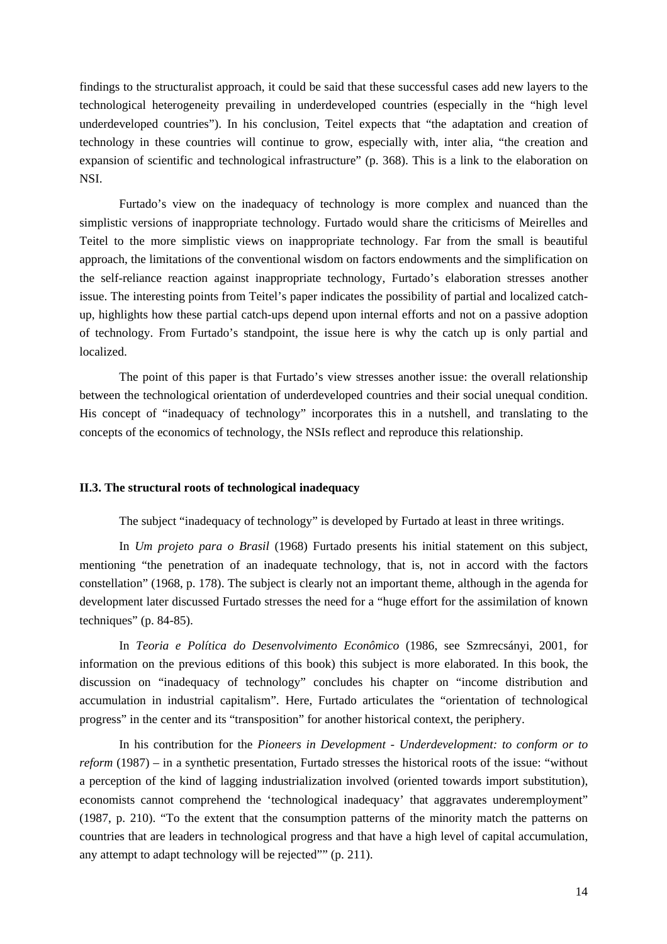<span id="page-13-0"></span>findings to the structuralist approach, it could be said that these successful cases add new layers to the technological heterogeneity prevailing in underdeveloped countries (especially in the "high level underdeveloped countries"). In his conclusion, Teitel expects that "the adaptation and creation of technology in these countries will continue to grow, especially with, inter alia, "the creation and expansion of scientific and technological infrastructure" (p. 368). This is a link to the elaboration on NSI.

Furtado's view on the inadequacy of technology is more complex and nuanced than the simplistic versions of inappropriate technology. Furtado would share the criticisms of Meirelles and Teitel to the more simplistic views on inappropriate technology. Far from the small is beautiful approach, the limitations of the conventional wisdom on factors endowments and the simplification on the self-reliance reaction against inappropriate technology, Furtado's elaboration stresses another issue. The interesting points from Teitel's paper indicates the possibility of partial and localized catchup, highlights how these partial catch-ups depend upon internal efforts and not on a passive adoption of technology. From Furtado's standpoint, the issue here is why the catch up is only partial and localized.

The point of this paper is that Furtado's view stresses another issue: the overall relationship between the technological orientation of underdeveloped countries and their social unequal condition. His concept of "inadequacy of technology" incorporates this in a nutshell, and translating to the concepts of the economics of technology, the NSIs reflect and reproduce this relationship.

#### **II.3. The structural roots of technological inadequacy**

The subject "inadequacy of technology" is developed by Furtado at least in three writings.

 In *Um projeto para o Brasil* (1968) Furtado presents his initial statement on this subject, mentioning "the penetration of an inadequate technology, that is, not in accord with the factors constellation" (1968, p. 178). The subject is clearly not an important theme, although in the agenda for development later discussed Furtado stresses the need for a "huge effort for the assimilation of known techniques" (p. 84-85).

 In *Teoria e Política do Desenvolvimento Econômico* (1986, see Szmrecsányi, 2001, for information on the previous editions of this book) this subject is more elaborated. In this book, the discussion on "inadequacy of technology" concludes his chapter on "income distribution and accumulation in industrial capitalism". Here, Furtado articulates the "orientation of technological progress" in the center and its "transposition" for another historical context, the periphery.

In his contribution for the *Pioneers in Development* - *Underdevelopment: to conform or to reform* (1987) – in a synthetic presentation, Furtado stresses the historical roots of the issue: "without a perception of the kind of lagging industrialization involved (oriented towards import substitution), economists cannot comprehend the 'technological inadequacy' that aggravates underemployment" (1987, p. 210). "To the extent that the consumption patterns of the minority match the patterns on countries that are leaders in technological progress and that have a high level of capital accumulation, any attempt to adapt technology will be rejected"" (p. 211).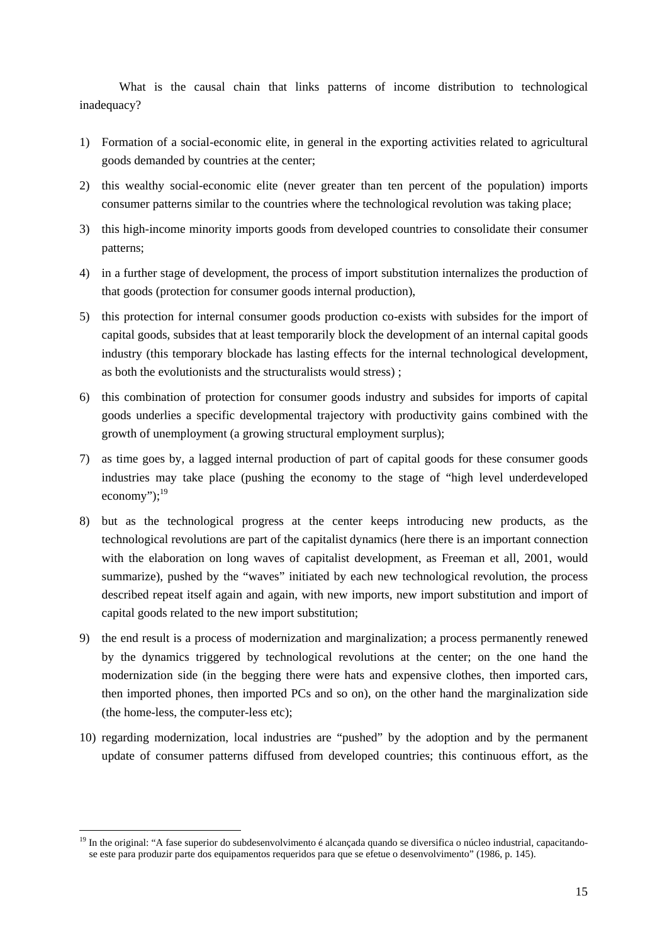What is the causal chain that links patterns of income distribution to technological inadequacy?

- 1) Formation of a social-economic elite, in general in the exporting activities related to agricultural goods demanded by countries at the center;
- 2) this wealthy social-economic elite (never greater than ten percent of the population) imports consumer patterns similar to the countries where the technological revolution was taking place;
- 3) this high-income minority imports goods from developed countries to consolidate their consumer patterns;
- 4) in a further stage of development, the process of import substitution internalizes the production of that goods (protection for consumer goods internal production),
- 5) this protection for internal consumer goods production co-exists with subsides for the import of capital goods, subsides that at least temporarily block the development of an internal capital goods industry (this temporary blockade has lasting effects for the internal technological development, as both the evolutionists and the structuralists would stress) ;
- 6) this combination of protection for consumer goods industry and subsides for imports of capital goods underlies a specific developmental trajectory with productivity gains combined with the growth of unemployment (a growing structural employment surplus);
- 7) as time goes by, a lagged internal production of part of capital goods for these consumer goods industries may take place (pushing the economy to the stage of "high level underdeveloped economy"); $^{19}$
- 8) but as the technological progress at the center keeps introducing new products, as the technological revolutions are part of the capitalist dynamics (here there is an important connection with the elaboration on long waves of capitalist development, as Freeman et all, 2001, would summarize), pushed by the "waves" initiated by each new technological revolution, the process described repeat itself again and again, with new imports, new import substitution and import of capital goods related to the new import substitution;
- 9) the end result is a process of modernization and marginalization; a process permanently renewed by the dynamics triggered by technological revolutions at the center; on the one hand the modernization side (in the begging there were hats and expensive clothes, then imported cars, then imported phones, then imported PCs and so on), on the other hand the marginalization side (the home-less, the computer-less etc);
- 10) regarding modernization, local industries are "pushed" by the adoption and by the permanent update of consumer patterns diffused from developed countries; this continuous effort, as the

<span id="page-14-0"></span> $\overline{a}$ <sup>19</sup> In the original: "A fase superior do subdesenvolvimento é alcançada quando se diversifica o núcleo industrial, capacitandose este para produzir parte dos equipamentos requeridos para que se efetue o desenvolvimento" (1986, p. 145).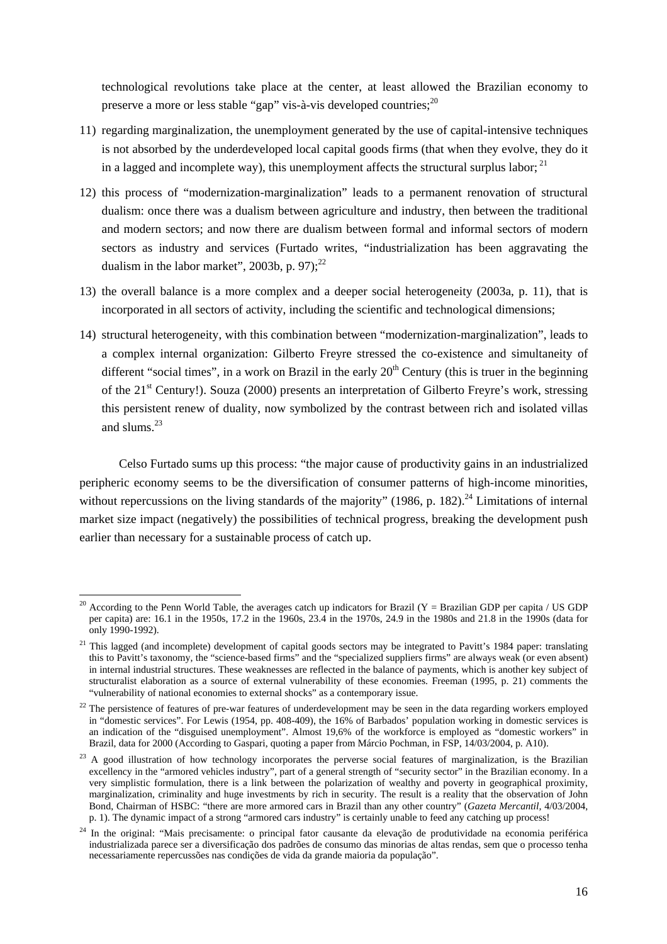technological revolutions take place at the center, at least allowed the Brazilian economy to preserve a more or less stable "gap" vis-à-vis developed countries;<sup>20</sup>

- 11) regarding marginalization, the unemployment generated by the use of capital-intensive techniques is not absorbed by the underdeveloped local capital goods firms (that when they evolve, they do it in a lagged and incomplete way), this unemployment affects the structural surplus labor;  $^{21}$  $^{21}$  $^{21}$
- 12) this process of "modernization-marginalization" leads to a permanent renovation of structural dualism: once there was a dualism between agriculture and industry, then between the traditional and modern sectors; and now there are dualism between formal and informal sectors of modern sectors as industry and services (Furtado writes, "industrialization has been aggravating the dualism in the labor market", 2003b, p. 97); $^{22}$  $^{22}$  $^{22}$
- 13) the overall balance is a more complex and a deeper social heterogeneity (2003a, p. 11), that is incorporated in all sectors of activity, including the scientific and technological dimensions;
- 14) structural heterogeneity, with this combination between "modernization-marginalization", leads to a complex internal organization: Gilberto Freyre stressed the co-existence and simultaneity of different "social times", in a work on Brazil in the early  $20<sup>th</sup>$  Century (this is truer in the beginning of the 21<sup>st</sup> Century!). Souza (2000) presents an interpretation of Gilberto Freyre's work, stressing this persistent renew of duality, now symbolized by the contrast between rich and isolated villas and slums  $^{23}$  $^{23}$  $^{23}$

Celso Furtado sums up this process: "the major cause of productivity gains in an industrialized peripheric economy seems to be the diversification of consumer patterns of high-income minorities, without repercussions on the living standards of the majority" (1986, p. 182).<sup>24</sup> Limitations of internal market size impact (negatively) the possibilities of technical progress, breaking the development push earlier than necessary for a sustainable process of catch up.

<span id="page-15-0"></span> $\overline{a}$ <sup>20</sup> According to the Penn World Table, the averages catch up indicators for Brazil (Y = Brazilian GDP per capita / US GDP per capita) are: 16.1 in the 1950s, 17.2 in the 1960s, 23.4 in the 1970s, 24.9 in the 1980s and 21.8 in the 1990s (data for only 1990-1992).

<span id="page-15-1"></span> $21$  This lagged (and incomplete) development of capital goods sectors may be integrated to Pavitt's 1984 paper: translating this to Pavitt's taxonomy, the "science-based firms" and the "specialized suppliers firms" are always weak (or even absent) in internal industrial structures. These weaknesses are reflected in the balance of payments, which is another key subject of structuralist elaboration as a source of external vulnerability of these economies. Freeman (1995, p. 21) comments the "vulnerability of national economies to external shocks" as a contemporary issue.

<span id="page-15-2"></span> $^{22}$  The persistence of features of pre-war features of underdevelopment may be seen in the data regarding workers employed in "domestic services". For Lewis (1954, pp. 408-409), the 16% of Barbados' population working in domestic services is an indication of the "disguised unemployment". Almost 19,6% of the workforce is employed as "domestic workers" in Brazil, data for 2000 (According to Gaspari, quoting a paper from Márcio Pochman, in FSP, 14/03/2004, p. A10).

<span id="page-15-3"></span><sup>&</sup>lt;sup>23</sup> A good illustration of how technology incorporates the perverse social features of marginalization, is the Brazilian excellency in the "armored vehicles industry", part of a general strength of "security sector" in the Brazilian economy. In a very simplistic formulation, there is a link between the polarization of wealthy and poverty in geographical proximity, marginalization, criminality and huge investments by rich in security. The result is a reality that the observation of John Bond, Chairman of HSBC: "there are more armored cars in Brazil than any other country" (*Gazeta Mercantil,* 4/03/2004, p. 1). The dynamic impact of a strong "armored cars industry" is certainly unable to feed any catching up process!

<span id="page-15-4"></span><sup>24</sup> In the original: "Mais precisamente: o principal fator causante da elevação de produtividade na economia periférica industrializada parece ser a diversificação dos padrões de consumo das minorias de altas rendas, sem que o processo tenha necessariamente repercussões nas condições de vida da grande maioria da população".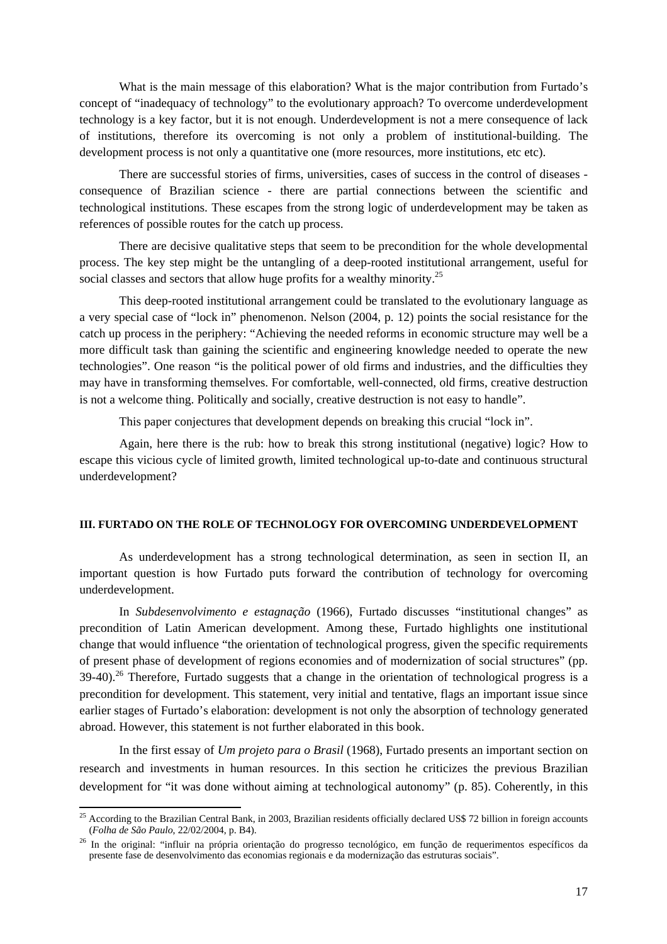<span id="page-16-0"></span>What is the main message of this elaboration? What is the major contribution from Furtado's concept of "inadequacy of technology" to the evolutionary approach? To overcome underdevelopment technology is a key factor, but it is not enough. Underdevelopment is not a mere consequence of lack of institutions, therefore its overcoming is not only a problem of institutional-building. The development process is not only a quantitative one (more resources, more institutions, etc etc).

There are successful stories of firms, universities, cases of success in the control of diseases consequence of Brazilian science - there are partial connections between the scientific and technological institutions. These escapes from the strong logic of underdevelopment may be taken as references of possible routes for the catch up process.

There are decisive qualitative steps that seem to be precondition for the whole developmental process. The key step might be the untangling of a deep-rooted institutional arrangement, useful for social classes and sectors that allow huge profits for a wealthy minority.<sup>25</sup>

This deep-rooted institutional arrangement could be translated to the evolutionary language as a very special case of "lock in" phenomenon. Nelson (2004, p. 12) points the social resistance for the catch up process in the periphery: "Achieving the needed reforms in economic structure may well be a more difficult task than gaining the scientific and engineering knowledge needed to operate the new technologies". One reason "is the political power of old firms and industries, and the difficulties they may have in transforming themselves. For comfortable, well-connected, old firms, creative destruction is not a welcome thing. Politically and socially, creative destruction is not easy to handle".

This paper conjectures that development depends on breaking this crucial "lock in".

Again, here there is the rub: how to break this strong institutional (negative) logic? How to escape this vicious cycle of limited growth, limited technological up-to-date and continuous structural underdevelopment?

### **III. FURTADO ON THE ROLE OF TECHNOLOGY FOR OVERCOMING UNDERDEVELOPMENT**

As underdevelopment has a strong technological determination, as seen in section II, an important question is how Furtado puts forward the contribution of technology for overcoming underdevelopment.

 In *Subdesenvolvimento e estagnação* (1966), Furtado discusses "institutional changes" as precondition of Latin American development. Among these, Furtado highlights one institutional change that would influence "the orientation of technological progress, given the specific requirements of present phase of development of regions economies and of modernization of social structures" (pp.  $39-40$ ).<sup>26</sup> Therefore, Furtado suggests that a change in the orientation of technological progress is a precondition for development. This statement, very initial and tentative, flags an important issue since earlier stages of Furtado's elaboration: development is not only the absorption of technology generated abroad. However, this statement is not further elaborated in this book.

In the first essay of *Um projeto para o Brasil* (1968), Furtado presents an important section on research and investments in human resources. In this section he criticizes the previous Brazilian development for "it was done without aiming at technological autonomy" (p. 85). Coherently, in this

<span id="page-16-1"></span><sup>&</sup>lt;sup>25</sup> According to the Brazilian Central Bank, in 2003, Brazilian residents officially declared US\$ 72 billion in foreign accounts (*Folha de São Paulo*, 22/02/2004, p. B4). 26 In the original: "influir na própria orientação do progresso tecnológico, em função de requerimentos específicos da

<span id="page-16-2"></span>presente fase de desenvolvimento das economias regionais e da modernização das estruturas sociais".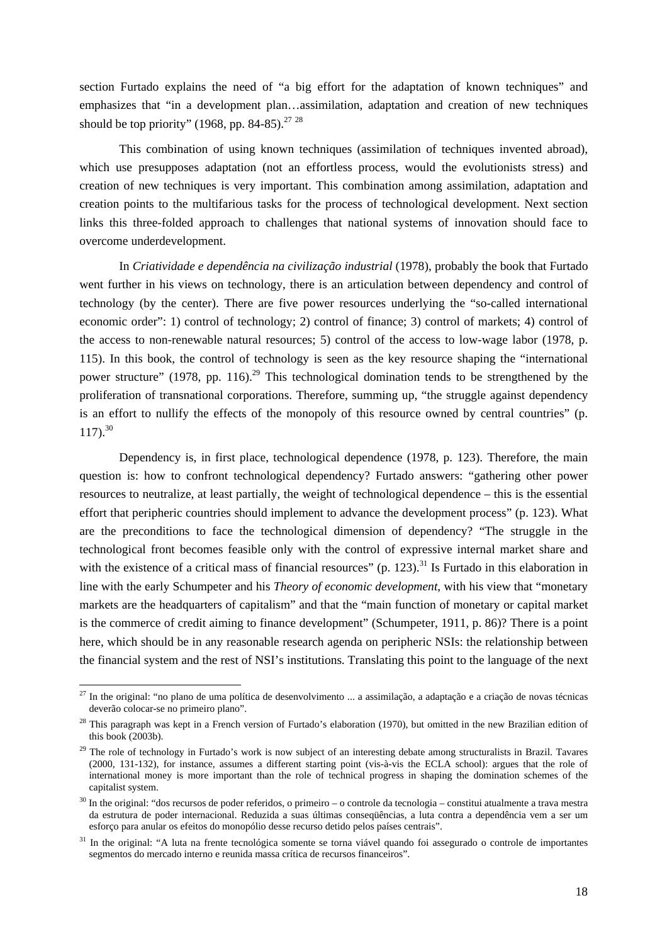section Furtado explains the need of "a big effort for the adaptation of known techniques" and emphasizes that "in a development plan…assimilation, adaptation and creation of new techniques should be top priority" (1968, pp. 84-85).<sup>[27](#page-17-0)</sup> <sup>[28](#page-17-1)</sup>

This combination of using known techniques (assimilation of techniques invented abroad), which use presupposes adaptation (not an effortless process, would the evolutionists stress) and creation of new techniques is very important. This combination among assimilation, adaptation and creation points to the multifarious tasks for the process of technological development. Next section links this three-folded approach to challenges that national systems of innovation should face to overcome underdevelopment.

 In *Criatividade e dependência na civilização industrial* (1978), probably the book that Furtado went further in his views on technology, there is an articulation between dependency and control of technology (by the center). There are five power resources underlying the "so-called international economic order": 1) control of technology; 2) control of finance; 3) control of markets; 4) control of the access to non-renewable natural resources; 5) control of the access to low-wage labor (1978, p. 115). In this book, the control of technology is seen as the key resource shaping the "international power structure" (1978, pp. 116).<sup>29</sup> This technological domination tends to be strengthened by the proliferation of transnational corporations. Therefore, summing up, "the struggle against dependency is an effort to nullify the effects of the monopoly of this resource owned by central countries" (p.  $117)$ .<sup>[30](#page-17-3)</sup>

Dependency is, in first place, technological dependence (1978, p. 123). Therefore, the main question is: how to confront technological dependency? Furtado answers: "gathering other power resources to neutralize, at least partially, the weight of technological dependence – this is the essential effort that peripheric countries should implement to advance the development process" (p. 123). What are the preconditions to face the technological dimension of dependency? "The struggle in the technological front becomes feasible only with the control of expressive internal market share and with the existence of a critical mass of financial resources" (p. 123).<sup>31</sup> Is Furtado in this elaboration in line with the early Schumpeter and his *Theory of economic development*, with his view that "monetary markets are the headquarters of capitalism" and that the "main function of monetary or capital market is the commerce of credit aiming to finance development" (Schumpeter, 1911, p. 86)? There is a point here, which should be in any reasonable research agenda on peripheric NSIs: the relationship between the financial system and the rest of NSI's institutions. Translating this point to the language of the next

<span id="page-17-0"></span><sup>&</sup>lt;sup>27</sup> In the original: "no plano de uma política de desenvolvimento ... a assimilação, a adaptação e a criação de novas técnicas deverão colocar-se no primeiro plano".

<span id="page-17-1"></span> $28$  This paragraph was kept in a French version of Furtado's elaboration (1970), but omitted in the new Brazilian edition of this book (2003b).

<span id="page-17-2"></span><sup>&</sup>lt;sup>29</sup> The role of technology in Furtado's work is now subject of an interesting debate among structuralists in Brazil. Tavares (2000, 131-132), for instance, assumes a different starting point (vis-à-vis the ECLA school): argues that the role of international money is more important than the role of technical progress in shaping the domination schemes of the capitalist system.

<span id="page-17-3"></span><sup>&</sup>lt;sup>30</sup> In the original: "dos recursos de poder referidos, o primeiro – o controle da tecnologia – constitui atualmente a trava mestra da estrutura de poder internacional. Reduzida a suas últimas conseqüências, a luta contra a dependência vem a ser um esforço para anular os efeitos do monopólio desse recurso detido pelos países centrais".

<span id="page-17-4"></span><sup>&</sup>lt;sup>31</sup> In the original: "A luta na frente tecnológica somente se torna viável quando foi assegurado o controle de importantes segmentos do mercado interno e reunida massa crítica de recursos financeiros".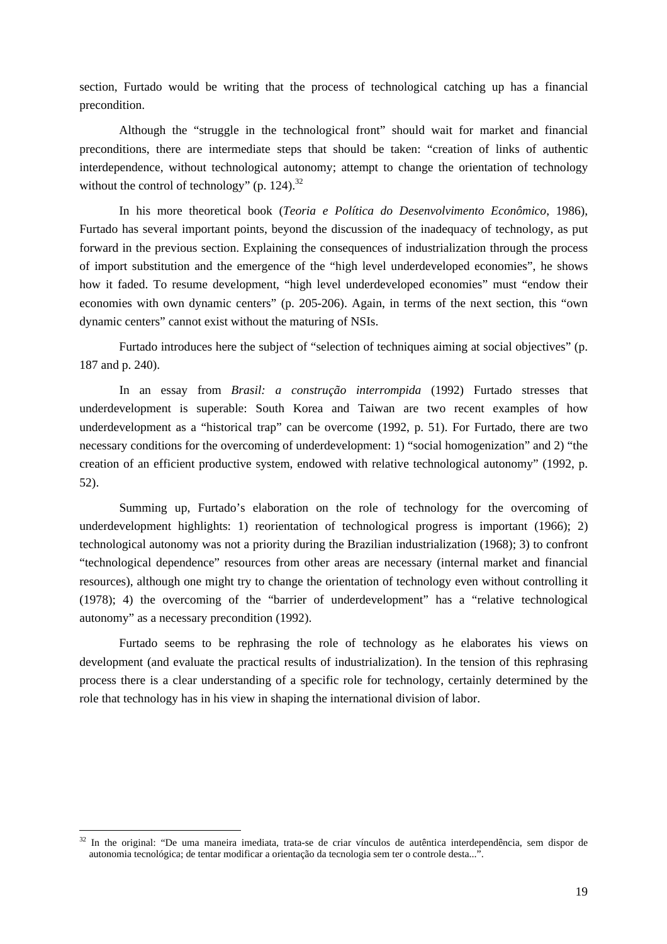section, Furtado would be writing that the process of technological catching up has a financial precondition.

Although the "struggle in the technological front" should wait for market and financial preconditions, there are intermediate steps that should be taken: "creation of links of authentic interdependence, without technological autonomy; attempt to change the orientation of technology without the control of technology" (p. 124). $^{32}$ 

In his more theoretical book (*Teoria e Política do Desenvolvimento Econômico*, 1986), Furtado has several important points, beyond the discussion of the inadequacy of technology, as put forward in the previous section. Explaining the consequences of industrialization through the process of import substitution and the emergence of the "high level underdeveloped economies", he shows how it faded. To resume development, "high level underdeveloped economies" must "endow their economies with own dynamic centers" (p. 205-206). Again, in terms of the next section, this "own dynamic centers" cannot exist without the maturing of NSIs.

Furtado introduces here the subject of "selection of techniques aiming at social objectives" (p. 187 and p. 240).

In an essay from *Brasil: a construção interrompida* (1992) Furtado stresses that underdevelopment is superable: South Korea and Taiwan are two recent examples of how underdevelopment as a "historical trap" can be overcome (1992, p. 51). For Furtado, there are two necessary conditions for the overcoming of underdevelopment: 1) "social homogenization" and 2) "the creation of an efficient productive system, endowed with relative technological autonomy" (1992, p. 52).

Summing up, Furtado's elaboration on the role of technology for the overcoming of underdevelopment highlights: 1) reorientation of technological progress is important (1966); 2) technological autonomy was not a priority during the Brazilian industrialization (1968); 3) to confront "technological dependence" resources from other areas are necessary (internal market and financial resources), although one might try to change the orientation of technology even without controlling it (1978); 4) the overcoming of the "barrier of underdevelopment" has a "relative technological autonomy" as a necessary precondition (1992).

Furtado seems to be rephrasing the role of technology as he elaborates his views on development (and evaluate the practical results of industrialization). In the tension of this rephrasing process there is a clear understanding of a specific role for technology, certainly determined by the role that technology has in his view in shaping the international division of labor.

<span id="page-18-0"></span> $32$  In the original: "De uma maneira imediata, trata-se de criar vínculos de autêntica interdependência, sem dispor de autonomia tecnológica; de tentar modificar a orientação da tecnologia sem ter o controle desta...".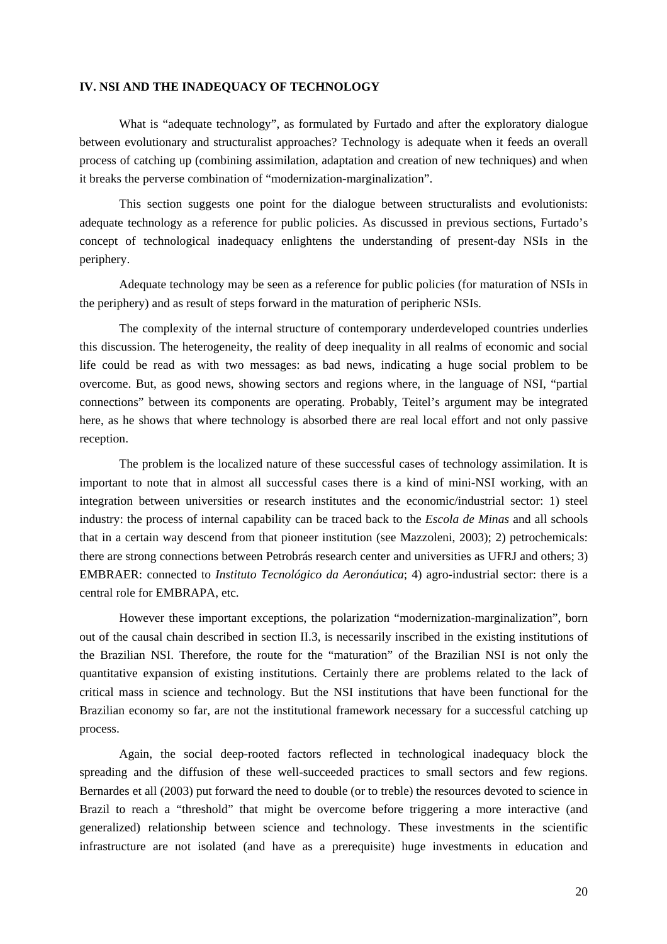### <span id="page-19-0"></span>**IV. NSI AND THE INADEQUACY OF TECHNOLOGY**

What is "adequate technology", as formulated by Furtado and after the exploratory dialogue between evolutionary and structuralist approaches? Technology is adequate when it feeds an overall process of catching up (combining assimilation, adaptation and creation of new techniques) and when it breaks the perverse combination of "modernization-marginalization".

This section suggests one point for the dialogue between structuralists and evolutionists: adequate technology as a reference for public policies. As discussed in previous sections, Furtado's concept of technological inadequacy enlightens the understanding of present-day NSIs in the periphery.

Adequate technology may be seen as a reference for public policies (for maturation of NSIs in the periphery) and as result of steps forward in the maturation of peripheric NSIs.

The complexity of the internal structure of contemporary underdeveloped countries underlies this discussion. The heterogeneity, the reality of deep inequality in all realms of economic and social life could be read as with two messages: as bad news, indicating a huge social problem to be overcome. But, as good news, showing sectors and regions where, in the language of NSI, "partial connections" between its components are operating. Probably, Teitel's argument may be integrated here, as he shows that where technology is absorbed there are real local effort and not only passive reception.

The problem is the localized nature of these successful cases of technology assimilation. It is important to note that in almost all successful cases there is a kind of mini-NSI working, with an integration between universities or research institutes and the economic/industrial sector: 1) steel industry: the process of internal capability can be traced back to the *Escola de Minas* and all schools that in a certain way descend from that pioneer institution (see Mazzoleni, 2003); 2) petrochemicals: there are strong connections between Petrobrás research center and universities as UFRJ and others; 3) EMBRAER: connected to *Instituto Tecnológico da Aeronáutica*; 4) agro-industrial sector: there is a central role for EMBRAPA, etc.

However these important exceptions, the polarization "modernization-marginalization", born out of the causal chain described in section II.3, is necessarily inscribed in the existing institutions of the Brazilian NSI. Therefore, the route for the "maturation" of the Brazilian NSI is not only the quantitative expansion of existing institutions. Certainly there are problems related to the lack of critical mass in science and technology. But the NSI institutions that have been functional for the Brazilian economy so far, are not the institutional framework necessary for a successful catching up process.

Again, the social deep-rooted factors reflected in technological inadequacy block the spreading and the diffusion of these well-succeeded practices to small sectors and few regions. Bernardes et all (2003) put forward the need to double (or to treble) the resources devoted to science in Brazil to reach a "threshold" that might be overcome before triggering a more interactive (and generalized) relationship between science and technology. These investments in the scientific infrastructure are not isolated (and have as a prerequisite) huge investments in education and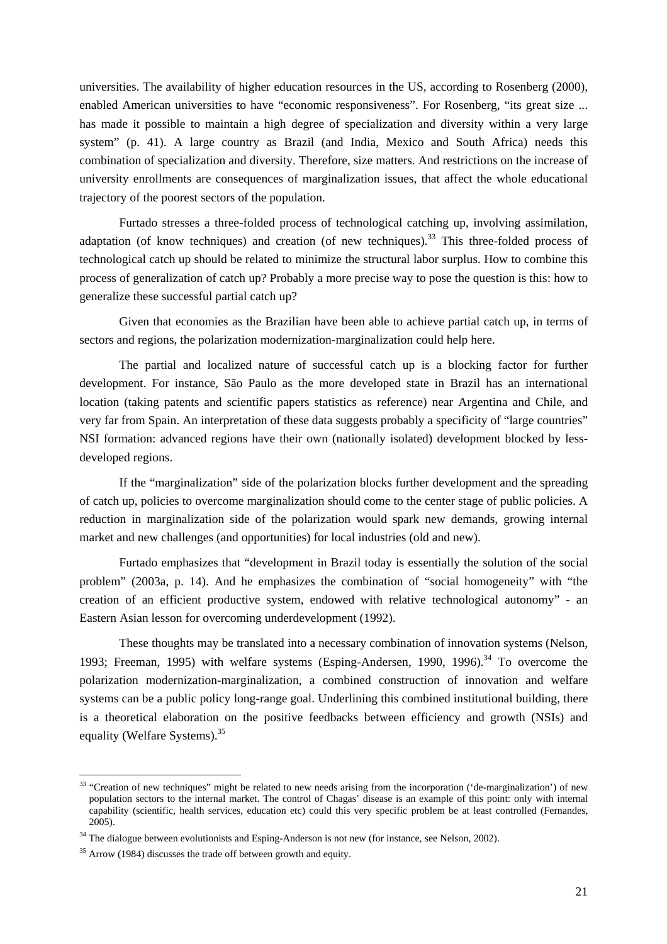universities. The availability of higher education resources in the US, according to Rosenberg (2000), enabled American universities to have "economic responsiveness". For Rosenberg, "its great size ... has made it possible to maintain a high degree of specialization and diversity within a very large system" (p. 41). A large country as Brazil (and India, Mexico and South Africa) needs this combination of specialization and diversity. Therefore, size matters. And restrictions on the increase of university enrollments are consequences of marginalization issues, that affect the whole educational trajectory of the poorest sectors of the population.

Furtado stresses a three-folded process of technological catching up, involving assimilation, adaptation (of know techniques) and creation (of new techniques).<sup>33</sup> This three-folded process of technological catch up should be related to minimize the structural labor surplus. How to combine this process of generalization of catch up? Probably a more precise way to pose the question is this: how to generalize these successful partial catch up?

Given that economies as the Brazilian have been able to achieve partial catch up, in terms of sectors and regions, the polarization modernization-marginalization could help here.

The partial and localized nature of successful catch up is a blocking factor for further development. For instance, São Paulo as the more developed state in Brazil has an international location (taking patents and scientific papers statistics as reference) near Argentina and Chile, and very far from Spain. An interpretation of these data suggests probably a specificity of "large countries" NSI formation: advanced regions have their own (nationally isolated) development blocked by lessdeveloped regions.

If the "marginalization" side of the polarization blocks further development and the spreading of catch up, policies to overcome marginalization should come to the center stage of public policies. A reduction in marginalization side of the polarization would spark new demands, growing internal market and new challenges (and opportunities) for local industries (old and new).

Furtado emphasizes that "development in Brazil today is essentially the solution of the social problem" (2003a, p. 14). And he emphasizes the combination of "social homogeneity" with "the creation of an efficient productive system, endowed with relative technological autonomy" - an Eastern Asian lesson for overcoming underdevelopment (1992).

These thoughts may be translated into a necessary combination of innovation systems (Nelson, 1993; Freeman, 1995) with welfare systems (Esping-Andersen, 1990, 1996).<sup>34</sup> To overcome the polarization modernization-marginalization, a combined construction of innovation and welfare systems can be a public policy long-range goal. Underlining this combined institutional building, there is a theoretical elaboration on the positive feedbacks between efficiency and growth (NSIs) and equality (Welfare Systems)[.35](#page-20-2)

<span id="page-20-0"></span> $33$  "Creation of new techniques" might be related to new needs arising from the incorporation ('de-marginalization') of new population sectors to the internal market. The control of Chagas' disease is an example of this point: only with internal capability (scientific, health services, education etc) could this very specific problem be at least controlled (Fernandes, 2005).

<span id="page-20-1"></span><sup>&</sup>lt;sup>34</sup> The dialogue between evolutionists and Esping-Anderson is not new (for instance, see Nelson, 2002).

<span id="page-20-2"></span> $35$  Arrow (1984) discusses the trade off between growth and equity.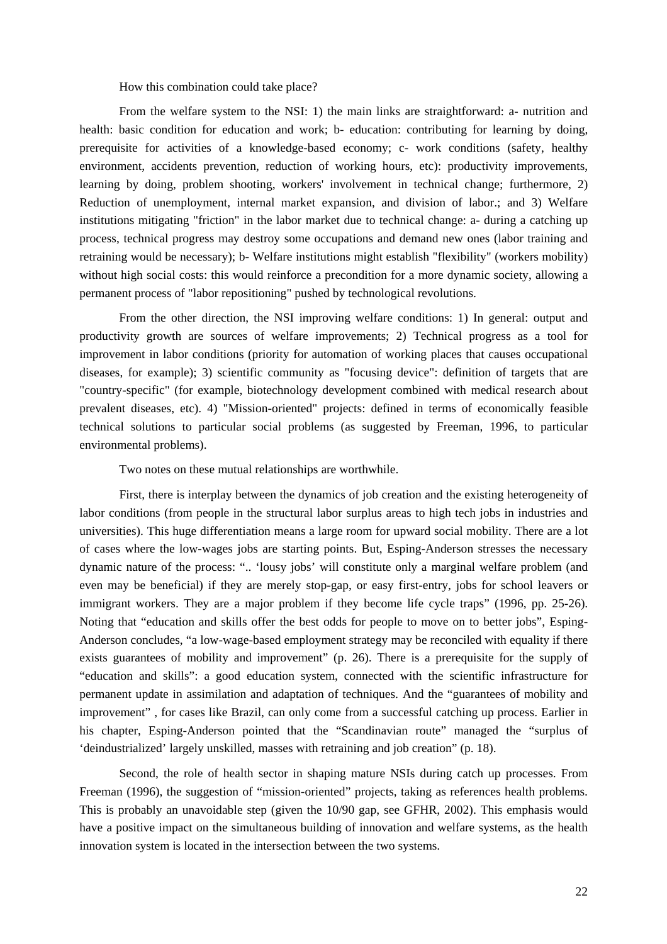How this combination could take place?

From the welfare system to the NSI: 1) the main links are straightforward: a- nutrition and health: basic condition for education and work; b- education: contributing for learning by doing, prerequisite for activities of a knowledge-based economy; c- work conditions (safety, healthy environment, accidents prevention, reduction of working hours, etc): productivity improvements, learning by doing, problem shooting, workers' involvement in technical change; furthermore, 2) Reduction of unemployment, internal market expansion, and division of labor.; and 3) Welfare institutions mitigating "friction" in the labor market due to technical change: a- during a catching up process, technical progress may destroy some occupations and demand new ones (labor training and retraining would be necessary); b- Welfare institutions might establish "flexibility" (workers mobility) without high social costs: this would reinforce a precondition for a more dynamic society, allowing a permanent process of "labor repositioning" pushed by technological revolutions.

From the other direction, the NSI improving welfare conditions: 1) In general: output and productivity growth are sources of welfare improvements; 2) Technical progress as a tool for improvement in labor conditions (priority for automation of working places that causes occupational diseases, for example); 3) scientific community as "focusing device": definition of targets that are "country-specific" (for example, biotechnology development combined with medical research about prevalent diseases, etc). 4) "Mission-oriented" projects: defined in terms of economically feasible technical solutions to particular social problems (as suggested by Freeman, 1996, to particular environmental problems).

Two notes on these mutual relationships are worthwhile.

First, there is interplay between the dynamics of job creation and the existing heterogeneity of labor conditions (from people in the structural labor surplus areas to high tech jobs in industries and universities). This huge differentiation means a large room for upward social mobility. There are a lot of cases where the low-wages jobs are starting points. But, Esping-Anderson stresses the necessary dynamic nature of the process: ".. 'lousy jobs' will constitute only a marginal welfare problem (and even may be beneficial) if they are merely stop-gap, or easy first-entry, jobs for school leavers or immigrant workers. They are a major problem if they become life cycle traps" (1996, pp. 25-26). Noting that "education and skills offer the best odds for people to move on to better jobs", Esping-Anderson concludes, "a low-wage-based employment strategy may be reconciled with equality if there exists guarantees of mobility and improvement" (p. 26). There is a prerequisite for the supply of "education and skills": a good education system, connected with the scientific infrastructure for permanent update in assimilation and adaptation of techniques. And the "guarantees of mobility and improvement" , for cases like Brazil, can only come from a successful catching up process. Earlier in his chapter, Esping-Anderson pointed that the "Scandinavian route" managed the "surplus of 'deindustrialized' largely unskilled, masses with retraining and job creation" (p. 18).

Second, the role of health sector in shaping mature NSIs during catch up processes. From Freeman (1996), the suggestion of "mission-oriented" projects, taking as references health problems. This is probably an unavoidable step (given the 10/90 gap, see GFHR, 2002). This emphasis would have a positive impact on the simultaneous building of innovation and welfare systems, as the health innovation system is located in the intersection between the two systems.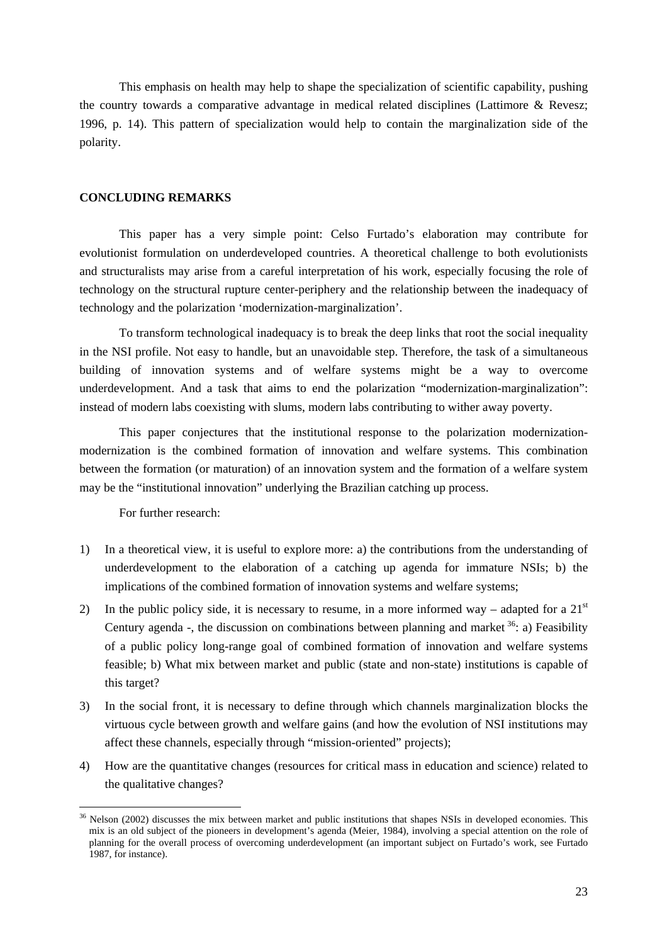<span id="page-22-0"></span>This emphasis on health may help to shape the specialization of scientific capability, pushing the country towards a comparative advantage in medical related disciplines (Lattimore & Revesz; 1996, p. 14). This pattern of specialization would help to contain the marginalization side of the polarity.

#### **CONCLUDING REMARKS**

This paper has a very simple point: Celso Furtado's elaboration may contribute for evolutionist formulation on underdeveloped countries. A theoretical challenge to both evolutionists and structuralists may arise from a careful interpretation of his work, especially focusing the role of technology on the structural rupture center-periphery and the relationship between the inadequacy of technology and the polarization 'modernization-marginalization'.

To transform technological inadequacy is to break the deep links that root the social inequality in the NSI profile. Not easy to handle, but an unavoidable step. Therefore, the task of a simultaneous building of innovation systems and of welfare systems might be a way to overcome underdevelopment. And a task that aims to end the polarization "modernization-marginalization": instead of modern labs coexisting with slums, modern labs contributing to wither away poverty.

This paper conjectures that the institutional response to the polarization modernizationmodernization is the combined formation of innovation and welfare systems. This combination between the formation (or maturation) of an innovation system and the formation of a welfare system may be the "institutional innovation" underlying the Brazilian catching up process.

For further research:

- 1) In a theoretical view, it is useful to explore more: a) the contributions from the understanding of underdevelopment to the elaboration of a catching up agenda for immature NSIs; b) the implications of the combined formation of innovation systems and welfare systems:
- 2) In the public policy side, it is necessary to resume, in a more informed way adapted for a  $21<sup>st</sup>$ Century agenda -, the discussion on combinations between planning and market  $36$ : a) Feasibility of a public policy long-range goal of combined formation of innovation and welfare systems feasible; b) What mix between market and public (state and non-state) institutions is capable of this target?
- 3) In the social front, it is necessary to define through which channels marginalization blocks the virtuous cycle between growth and welfare gains (and how the evolution of NSI institutions may affect these channels, especially through "mission-oriented" projects);
- 4) How are the quantitative changes (resources for critical mass in education and science) related to the qualitative changes?

<span id="page-22-1"></span> $36$  Nelson (2002) discusses the mix between market and public institutions that shapes NSIs in developed economies. This mix is an old subject of the pioneers in development's agenda (Meier, 1984), involving a special attention on the role of planning for the overall process of overcoming underdevelopment (an important subject on Furtado's work, see Furtado 1987, for instance).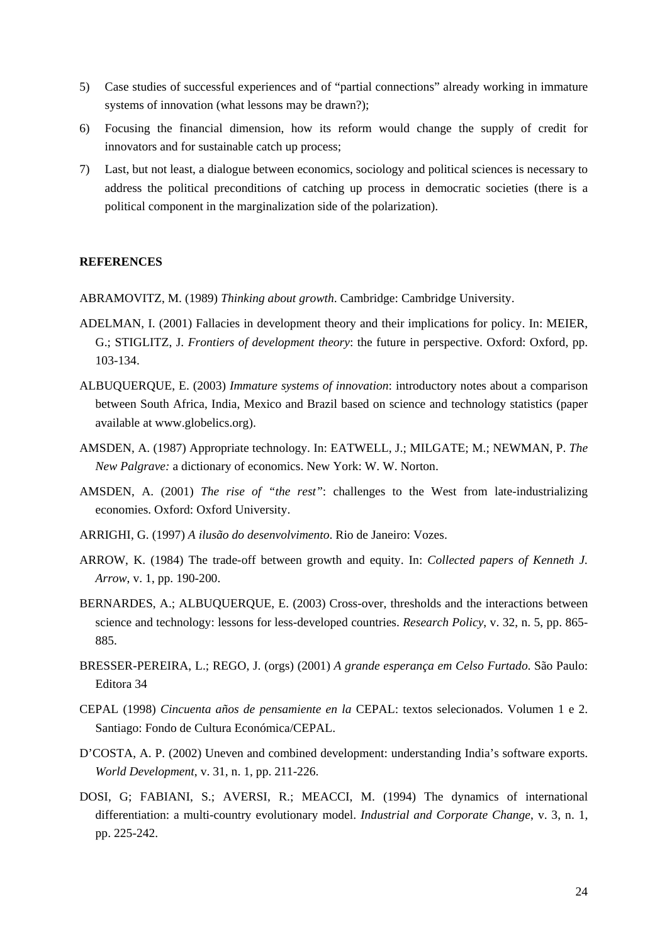- <span id="page-23-0"></span>5) Case studies of successful experiences and of "partial connections" already working in immature systems of innovation (what lessons may be drawn?);
- 6) Focusing the financial dimension, how its reform would change the supply of credit for innovators and for sustainable catch up process;
- 7) Last, but not least, a dialogue between economics, sociology and political sciences is necessary to address the political preconditions of catching up process in democratic societies (there is a political component in the marginalization side of the polarization).

### **REFERENCES**

ABRAMOVITZ, M. (1989) *Thinking about growth*. Cambridge: Cambridge University.

- ADELMAN, I. (2001) Fallacies in development theory and their implications for policy. In: MEIER, G.; STIGLITZ, J. *Frontiers of development theory*: the future in perspective. Oxford: Oxford, pp. 103-134.
- ALBUQUERQUE, E. (2003) *Immature systems of innovation*: introductory notes about a comparison between South Africa, India, Mexico and Brazil based on science and technology statistics (paper available at www.globelics.org).
- AMSDEN, A. (1987) Appropriate technology. In: EATWELL, J.; MILGATE; M.; NEWMAN, P. *The New Palgrave:* a dictionary of economics. New York: W. W. Norton.
- AMSDEN, A. (2001) *The rise of "the rest"*: challenges to the West from late-industrializing economies. Oxford: Oxford University.
- ARRIGHI, G. (1997) *A ilusão do desenvolvimento*. Rio de Janeiro: Vozes.
- ARROW, K. (1984) The trade-off between growth and equity. In: *Collected papers of Kenneth J. Arrow*, v. 1, pp. 190-200.
- BERNARDES, A.; ALBUQUERQUE, E. (2003) Cross-over, thresholds and the interactions between science and technology: lessons for less-developed countries. *Research Policy*, v. 32, n. 5, pp. 865- 885.
- BRESSER-PEREIRA, L.; REGO, J. (orgs) (2001) *A grande esperança em Celso Furtado*. São Paulo: Editora 34
- CEPAL (1998) *Cincuenta años de pensamiente en la* CEPAL: textos selecionados. Volumen 1 e 2. Santiago: Fondo de Cultura Económica/CEPAL.
- D'COSTA, A. P. (2002) Uneven and combined development: understanding India's software exports. *World Development*, v. 31, n. 1, pp. 211-226.
- DOSI, G; FABIANI, S.; AVERSI, R.; MEACCI, M. (1994) The dynamics of international differentiation: a multi-country evolutionary model. *Industrial and Corporate Change*, v. 3, n. 1, pp. 225-242.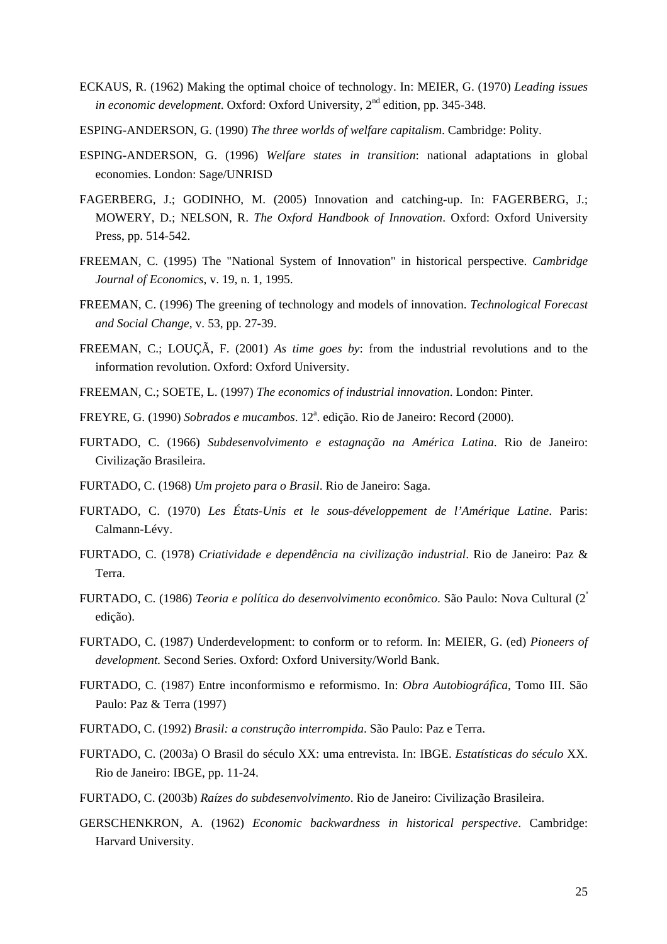- ECKAUS, R. (1962) Making the optimal choice of technology. In: MEIER, G. (1970) *Leading issues in economic development*. Oxford: Oxford University, 2<sup>nd</sup> edition, pp. 345-348.
- ESPING-ANDERSON, G. (1990) *The three worlds of welfare capitalism*. Cambridge: Polity.
- ESPING-ANDERSON, G. (1996) *Welfare states in transition*: national adaptations in global economies. London: Sage/UNRISD
- FAGERBERG, J.; GODINHO, M. (2005) Innovation and catching-up. In: FAGERBERG, J.; MOWERY, D.; NELSON, R. *The Oxford Handbook of Innovation*. Oxford: Oxford University Press, pp. 514-542.
- FREEMAN, C. (1995) The "National System of Innovation" in historical perspective. *Cambridge Journal of Economics*, v. 19, n. 1, 1995.
- FREEMAN, C. (1996) The greening of technology and models of innovation. *Technological Forecast and Social Change*, v. 53, pp. 27-39.
- FREEMAN, C.; LOUÇÃ, F. (2001) *As time goes by*: from the industrial revolutions and to the information revolution. Oxford: Oxford University.
- FREEMAN, C.; SOETE, L. (1997) *The economics of industrial innovation*. London: Pinter.
- FREYRE, G. (1990) *Sobrados e mucambos*. 12<sup>ª</sup>. edição. Rio de Janeiro: Record (2000).
- FURTADO, C. (1966) *Subdesenvolvimento e estagnação na América Latina*. Rio de Janeiro: Civilização Brasileira.
- FURTADO, C. (1968) *Um projeto para o Brasil*. Rio de Janeiro: Saga.
- FURTADO, C. (1970) *Les États-Unis et le sous-développement de l'Amérique Latine*. Paris: Calmann-Lévy.
- FURTADO, C. (1978) *Criatividade e dependência na civilização industrial*. Rio de Janeiro: Paz & Terra.
- FURTADO, C. (1986) *Teoria e política do desenvolvimento econômico*. São Paulo: Nova Cultural (2ª edição).
- FURTADO, C. (1987) Underdevelopment: to conform or to reform. In: MEIER, G. (ed) *Pioneers of development.* Second Series. Oxford: Oxford University/World Bank.
- FURTADO, C. (1987) Entre inconformismo e reformismo. In: *Obra Autobiográfica*, Tomo III. São Paulo: Paz & Terra (1997)
- FURTADO, C. (1992) *Brasil: a construção interrompida*. São Paulo: Paz e Terra.
- FURTADO, C. (2003a) O Brasil do século XX: uma entrevista. In: IBGE. *Estatísticas do século* XX. Rio de Janeiro: IBGE, pp. 11-24.
- FURTADO, C. (2003b) *Raízes do subdesenvolvimento*. Rio de Janeiro: Civilização Brasileira.
- GERSCHENKRON, A. (1962) *Economic backwardness in historical perspective*. Cambridge: Harvard University.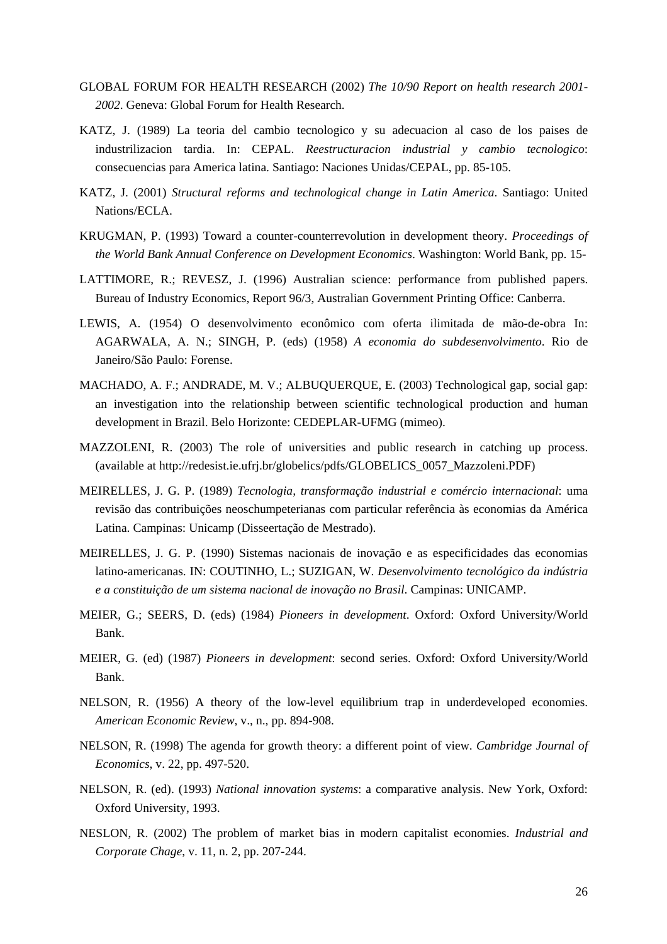- GLOBAL FORUM FOR HEALTH RESEARCH (2002) *The 10/90 Report on health research 2001- 2002*. Geneva: Global Forum for Health Research.
- KATZ, J. (1989) La teoria del cambio tecnologico y su adecuacion al caso de los paises de industrilizacion tardia. In: CEPAL. *Reestructuracion industrial y cambio tecnologico*: consecuencias para America latina. Santiago: Naciones Unidas/CEPAL, pp. 85-105.
- KATZ, J. (2001) *Structural reforms and technological change in Latin America*. Santiago: United Nations/ECLA.
- KRUGMAN, P. (1993) Toward a counter-counterrevolution in development theory. *Proceedings of the World Bank Annual Conference on Development Economics*. Washington: World Bank, pp. 15-
- LATTIMORE, R.; REVESZ, J. (1996) Australian science: performance from published papers. Bureau of Industry Economics, Report 96/3, Australian Government Printing Office: Canberra.
- LEWIS, A. (1954) O desenvolvimento econômico com oferta ilimitada de mão-de-obra In: AGARWALA, A. N.; SINGH, P. (eds) (1958) *A economia do subdesenvolvimento*. Rio de Janeiro/São Paulo: Forense.
- MACHADO, A. F.; ANDRADE, M. V.; ALBUQUERQUE, E. (2003) Technological gap, social gap: an investigation into the relationship between scientific technological production and human development in Brazil. Belo Horizonte: CEDEPLAR-UFMG (mimeo).
- MAZZOLENI, R. (2003) The role of universities and public research in catching up process. (available at http://redesist.ie.ufrj.br/globelics/pdfs/GLOBELICS\_0057\_Mazzoleni.PDF)
- MEIRELLES, J. G. P. (1989) *Tecnologia, transformação industrial e comércio internacional*: uma revisão das contribuições neoschumpeterianas com particular referência às economias da América Latina. Campinas: Unicamp (Disseertação de Mestrado).
- MEIRELLES, J. G. P. (1990) Sistemas nacionais de inovação e as especificidades das economias latino-americanas. IN: COUTINHO, L.; SUZIGAN, W. *Desenvolvimento tecnológico da indústria e a constituição de um sistema nacional de inovação no Brasil*. Campinas: UNICAMP.
- MEIER, G.; SEERS, D. (eds) (1984) *Pioneers in development*. Oxford: Oxford University/World Bank.
- MEIER, G. (ed) (1987) *Pioneers in development*: second series. Oxford: Oxford University/World Bank.
- NELSON, R. (1956) A theory of the low-level equilibrium trap in underdeveloped economies. *American Economic Review*, v., n., pp. 894-908.
- NELSON, R. (1998) The agenda for growth theory: a different point of view. *Cambridge Journal of Economics*, v. 22, pp. 497-520.
- NELSON, R. (ed). (1993) *National innovation systems*: a comparative analysis. New York, Oxford: Oxford University, 1993.
- NESLON, R. (2002) The problem of market bias in modern capitalist economies. *Industrial and Corporate Chage*, v. 11, n. 2, pp. 207-244.